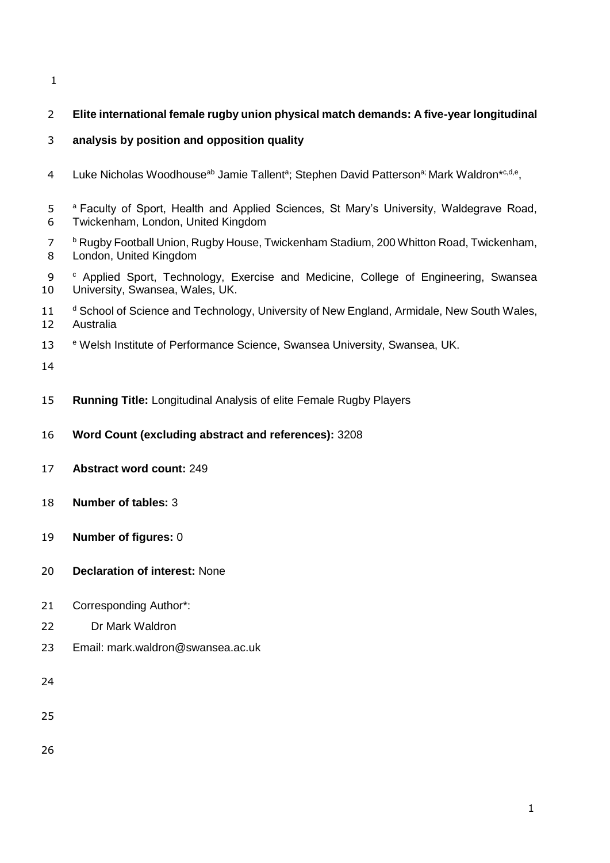# **Elite international female rugby union physical match demands: A five-year longitudinal**

## **analysis by position and opposition quality**

- 4 Luke Nicholas Woodhouse<sup>ab</sup> Jamie Tallent<sup>a</sup>; Stephen David Patterson<sup>a;</sup> Mark Waldron<sup>\*c,d,e</sup>,
- 5 <sup>a</sup> Faculty of Sport, Health and Applied Sciences, St Mary's University, Waldegrave Road, Twickenham, London, United Kingdom
- <sup>b</sup> Rugby Football Union, Rugby House, Twickenham Stadium, 200 Whitton Road, Twickenham, London, United Kingdom
- 9 <sup>c</sup> Applied Sport, Technology, Exercise and Medicine, College of Engineering, Swansea University, Swansea, Wales, UK.
- 11 d School of Science and Technology, University of New England, Armidale, New South Wales, Australia
- 13 e Welsh Institute of Performance Science, Swansea University, Swansea, UK.
- 
- **Running Title:** Longitudinal Analysis of elite Female Rugby Players
- **Word Count (excluding abstract and references):** 3208
- **Abstract word count:** 249
- **Number of tables:** 3
- **Number of figures:** 0
- **Declaration of interest:** None
- Corresponding Author\*:
- Dr Mark Waldron
- Email: mark.waldron@swansea.ac.uk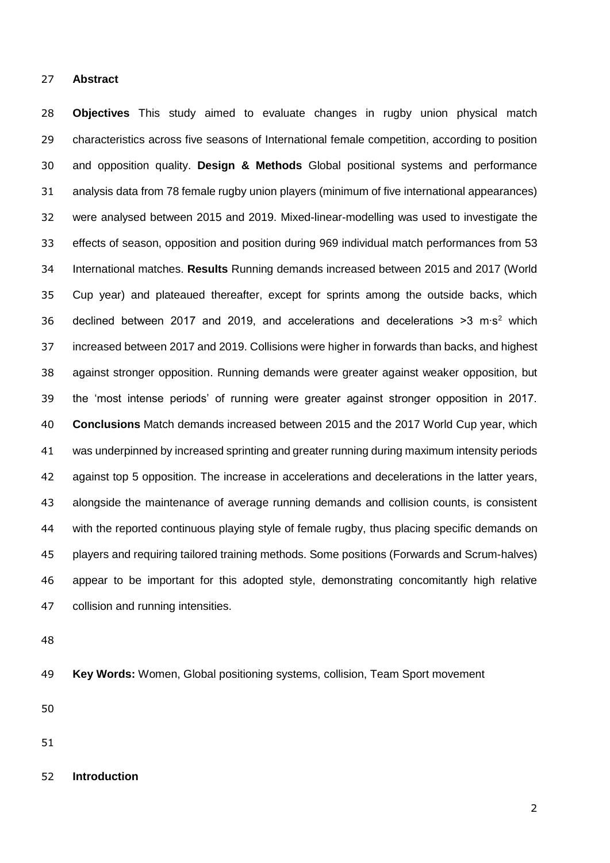#### **Abstract**

 **Objectives** This study aimed to evaluate changes in rugby union physical match characteristics across five seasons of International female competition, according to position and opposition quality. **Design & Methods** Global positional systems and performance analysis data from 78 female rugby union players (minimum of five international appearances) were analysed between 2015 and 2019. Mixed-linear-modelling was used to investigate the effects of season, opposition and position during 969 individual match performances from 53 International matches. **Results** Running demands increased between 2015 and 2017 (World Cup year) and plateaued thereafter, except for sprints among the outside backs, which 36 declined between 2017 and 2019, and accelerations and decelerations >3 m⋅s<sup>2</sup> which increased between 2017 and 2019. Collisions were higher in forwards than backs, and highest against stronger opposition. Running demands were greater against weaker opposition, but the 'most intense periods' of running were greater against stronger opposition in 2017. **Conclusions** Match demands increased between 2015 and the 2017 World Cup year, which was underpinned by increased sprinting and greater running during maximum intensity periods against top 5 opposition. The increase in accelerations and decelerations in the latter years, alongside the maintenance of average running demands and collision counts, is consistent with the reported continuous playing style of female rugby, thus placing specific demands on players and requiring tailored training methods. Some positions (Forwards and Scrum-halves) appear to be important for this adopted style, demonstrating concomitantly high relative collision and running intensities.

**Key Words:** Women, Global positioning systems, collision, Team Sport movement

**Introduction**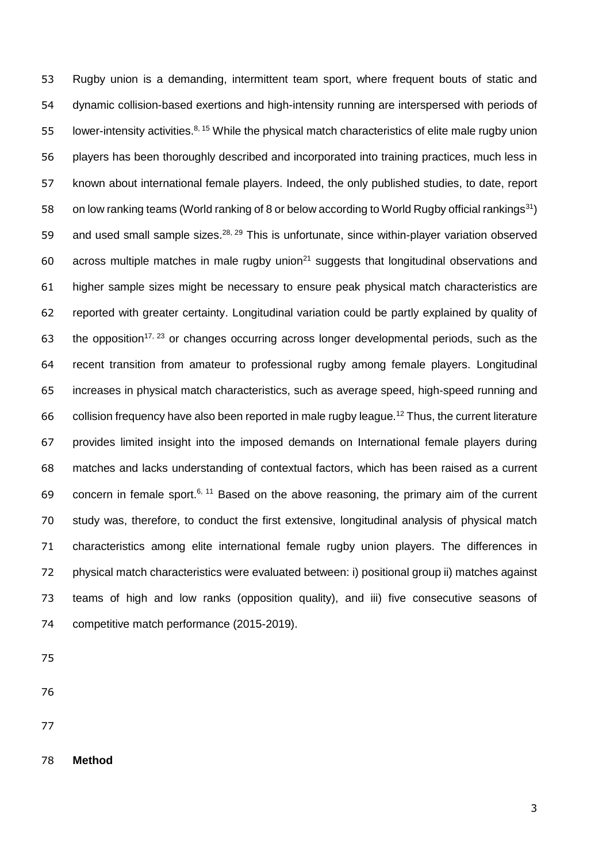Rugby union is a demanding, intermittent team sport, where frequent bouts of static and dynamic collision-based exertions and high-intensity running are interspersed with periods of 55 lower-intensity activities.  $8, 15$  While the physical match characteristics of elite male rugby union players has been thoroughly described and incorporated into training practices, much less in known about international female players. Indeed, the only published studies, to date, report 58 on low ranking teams (World ranking of 8 or below according to World Rugby official rankings<sup>31</sup>) 59 and used small sample sizes.<sup>28, 29</sup> This is unfortunate, since within-player variation observed 60 across multiple matches in male rugby union<sup>21</sup> suggests that longitudinal observations and higher sample sizes might be necessary to ensure peak physical match characteristics are reported with greater certainty. Longitudinal variation could be partly explained by quality of 63 the opposition<sup>17, 23</sup> or changes occurring across longer developmental periods, such as the recent transition from amateur to professional rugby among female players. Longitudinal increases in physical match characteristics, such as average speed, high-speed running and 66 collision frequency have also been reported in male rugby league.<sup>12</sup> Thus, the current literature provides limited insight into the imposed demands on International female players during matches and lacks understanding of contextual factors, which has been raised as a current 69 concern in female sport.<sup>6, 11</sup> Based on the above reasoning, the primary aim of the current study was, therefore, to conduct the first extensive, longitudinal analysis of physical match characteristics among elite international female rugby union players. The differences in physical match characteristics were evaluated between: i) positional group ii) matches against teams of high and low ranks (opposition quality), and iii) five consecutive seasons of competitive match performance (2015-2019).

- 
- 
- 
- **Method**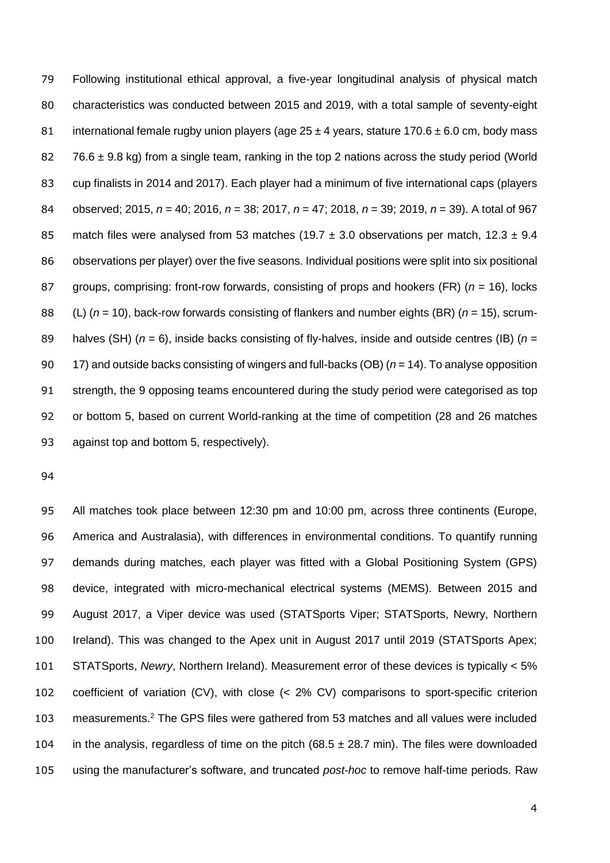Following institutional ethical approval, a five-year longitudinal analysis of physical match characteristics was conducted between 2015 and 2019, with a total sample of seventy-eight 81 international female rugby union players (age  $25 \pm 4$  years, stature  $170.6 \pm 6.0$  cm, body mass  $76.6 \pm 9.8$  kg) from a single team, ranking in the top 2 nations across the study period (World cup finalists in 2014 and 2017). Each player had a minimum of five international caps (players observed; 2015, *n* = 40; 2016, *n* = 38; 2017, *n* = 47; 2018, *n* = 39; 2019, *n* = 39). A total of 967 85 match files were analysed from 53 matches (19.7  $\pm$  3.0 observations per match, 12.3  $\pm$  9.4 observations per player) over the five seasons. Individual positions were split into six positional groups, comprising: front-row forwards, consisting of props and hookers (FR) (*n* = 16), locks (L) (*n* = 10), back-row forwards consisting of flankers and number eights (BR) (*n* = 15), scrum- halves (SH) (*n* = 6), inside backs consisting of fly-halves, inside and outside centres (IB) (*n* = 17) and outside backs consisting of wingers and full-backs (OB) (*n* = 14). To analyse opposition strength, the 9 opposing teams encountered during the study period were categorised as top or bottom 5, based on current World-ranking at the time of competition (28 and 26 matches against top and bottom 5, respectively).

 All matches took place between 12:30 pm and 10:00 pm, across three continents (Europe, America and Australasia), with differences in environmental conditions. To quantify running demands during matches, each player was fitted with a Global Positioning System (GPS) device, integrated with micro-mechanical electrical systems (MEMS). Between 2015 and August 2017, a Viper device was used (STATSports Viper; STATSports, Newry, Northern Ireland). This was changed to the Apex unit in August 2017 until 2019 (STATSports Apex; STATSports, *Newry*, Northern Ireland). Measurement error of these devices is typically < 5% coefficient of variation (CV), with close (< 2% CV) comparisons to sport-specific criterion 103 measurements.<sup>2</sup> The GPS files were gathered from 53 matches and all values were included 104 in the analysis, regardless of time on the pitch  $(68.5 \pm 28.7 \text{ min})$ . The files were downloaded using the manufacturer's software, and truncated *post-hoc* to remove half-time periods. Raw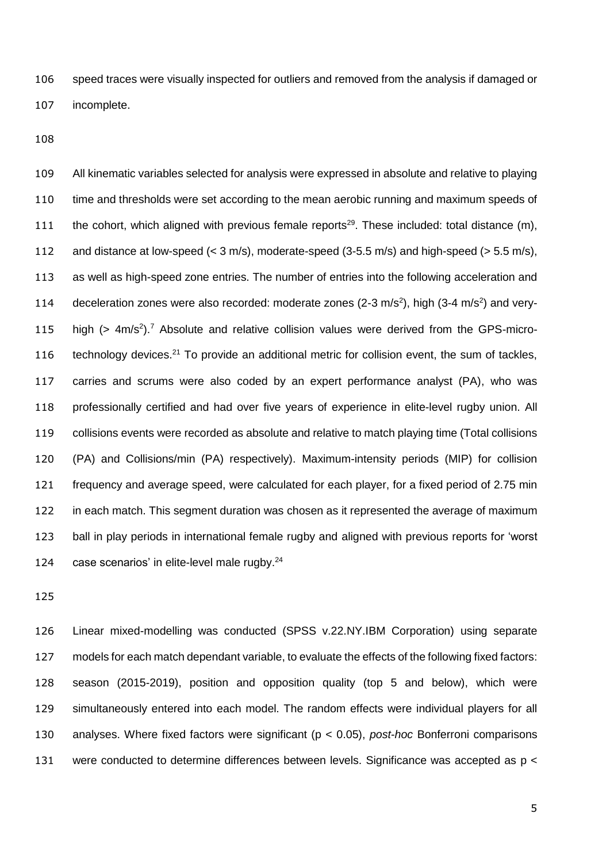speed traces were visually inspected for outliers and removed from the analysis if damaged or incomplete.

 All kinematic variables selected for analysis were expressed in absolute and relative to playing time and thresholds were set according to the mean aerobic running and maximum speeds of 111 the cohort, which aligned with previous female reports<sup>29</sup>. These included: total distance  $(m)$ , and distance at low-speed (< 3 m/s), moderate-speed (3-5.5 m/s) and high-speed (> 5.5 m/s), as well as high-speed zone entries. The number of entries into the following acceleration and 114 deceleration zones were also recorded: moderate zones (2-3 m/s<sup>2</sup>), high (3-4 m/s<sup>2</sup>) and very-115 high  $($  > 4m/s<sup>2</sup> $)$ .<sup>7</sup> Absolute and relative collision values were derived from the GPS-micro-116 technology devices.<sup>21</sup> To provide an additional metric for collision event, the sum of tackles, carries and scrums were also coded by an expert performance analyst (PA), who was professionally certified and had over five years of experience in elite-level rugby union. All collisions events were recorded as absolute and relative to match playing time (Total collisions (PA) and Collisions/min (PA) respectively). Maximum-intensity periods (MIP) for collision frequency and average speed, were calculated for each player, for a fixed period of 2.75 min in each match. This segment duration was chosen as it represented the average of maximum ball in play periods in international female rugby and aligned with previous reports for 'worst 124 case scenarios' in elite-level male rugby.<sup>24</sup>

 Linear mixed-modelling was conducted (SPSS v.22.NY.IBM Corporation) using separate models for each match dependant variable, to evaluate the effects of the following fixed factors: season (2015-2019), position and opposition quality (top 5 and below), which were simultaneously entered into each model. The random effects were individual players for all analyses. Where fixed factors were significant (p < 0.05), *post-hoc* Bonferroni comparisons 131 were conducted to determine differences between levels. Significance was accepted as p <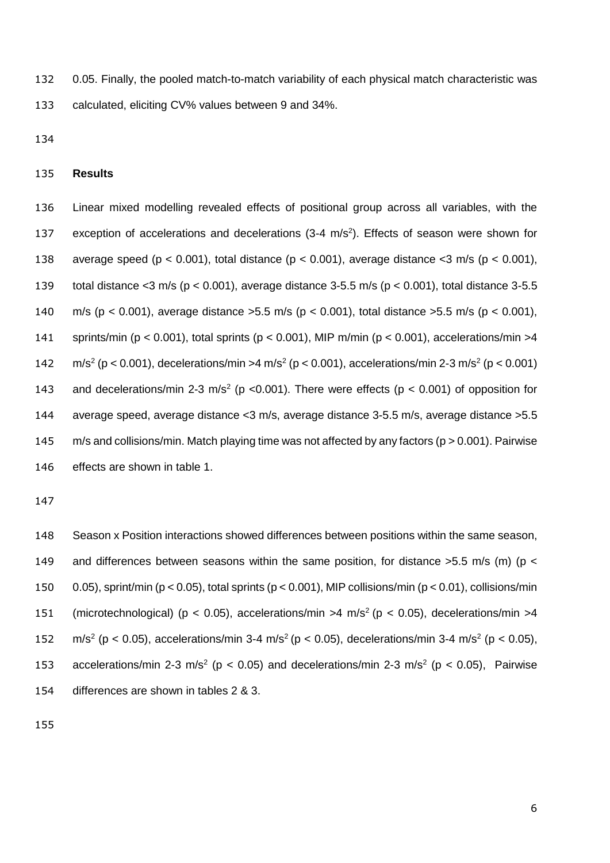0.05. Finally, the pooled match-to-match variability of each physical match characteristic was calculated, eliciting CV% values between 9 and 34%.

### **Results**

 Linear mixed modelling revealed effects of positional group across all variables, with the 137 exception of accelerations and decelerations (3-4 m/s<sup>2</sup>). Effects of season were shown for average speed (p < 0.001), total distance (p < 0.001), average distance <3 m/s (p < 0.001), total distance <3 m/s (p < 0.001), average distance 3-5.5 m/s (p < 0.001), total distance 3-5.5 m/s (p < 0.001), average distance >5.5 m/s (p < 0.001), total distance >5.5 m/s (p < 0.001), sprints/min (p < 0.001), total sprints (p < 0.001), MIP m/min (p < 0.001), accelerations/min >4  $m/s^2$  (p < 0.001), decelerations/min >4 m/s<sup>2</sup> (p < 0.001), accelerations/min 2-3 m/s<sup>2</sup> (p < 0.001) 143 and decelerations/min 2-3 m/s<sup>2</sup> (p <0.001). There were effects (p < 0.001) of opposition for average speed, average distance <3 m/s, average distance 3-5.5 m/s, average distance >5.5 m/s and collisions/min. Match playing time was not affected by any factors (p > 0.001). Pairwise effects are shown in table 1.

 Season x Position interactions showed differences between positions within the same season, 149 and differences between seasons within the same position, for distance  $>5.5$  m/s (m) (p < 0.05), sprint/min (p < 0.05), total sprints (p < 0.001), MIP collisions/min (p < 0.01), collisions/min 151 (microtechnological) ( $p < 0.05$ ), accelerations/min >4 m/s<sup>2</sup> ( $p < 0.05$ ), decelerations/min >4 152 m/s<sup>2</sup> (p < 0.05), accelerations/min 3-4 m/s<sup>2</sup> (p < 0.05), decelerations/min 3-4 m/s<sup>2</sup> (p < 0.05), 153 accelerations/min 2-3 m/s<sup>2</sup> ( $p < 0.05$ ) and decelerations/min 2-3 m/s<sup>2</sup> ( $p < 0.05$ ), Pairwise differences are shown in tables 2 & 3.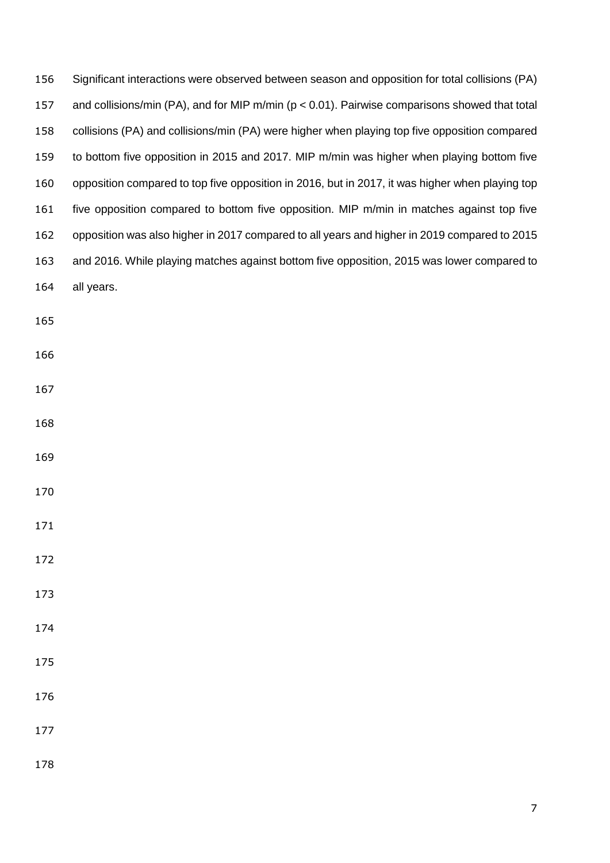| 156 | Significant interactions were observed between season and opposition for total collisions (PA)    |
|-----|---------------------------------------------------------------------------------------------------|
| 157 | and collisions/min (PA), and for MIP m/min ( $p < 0.01$ ). Pairwise comparisons showed that total |
| 158 | collisions (PA) and collisions/min (PA) were higher when playing top five opposition compared     |
| 159 | to bottom five opposition in 2015 and 2017. MIP m/min was higher when playing bottom five         |
| 160 | opposition compared to top five opposition in 2016, but in 2017, it was higher when playing top   |
| 161 | five opposition compared to bottom five opposition. MIP m/min in matches against top five         |
| 162 | opposition was also higher in 2017 compared to all years and higher in 2019 compared to 2015      |
| 163 | and 2016. While playing matches against bottom five opposition, 2015 was lower compared to        |
| 164 | all years.                                                                                        |
| 165 |                                                                                                   |
| 166 |                                                                                                   |
| 167 |                                                                                                   |
| 168 |                                                                                                   |
| 169 |                                                                                                   |
| 170 |                                                                                                   |
| 171 |                                                                                                   |
| 172 |                                                                                                   |
| 173 |                                                                                                   |
| 174 |                                                                                                   |
| 175 |                                                                                                   |
| 176 |                                                                                                   |
| 177 |                                                                                                   |
| 178 |                                                                                                   |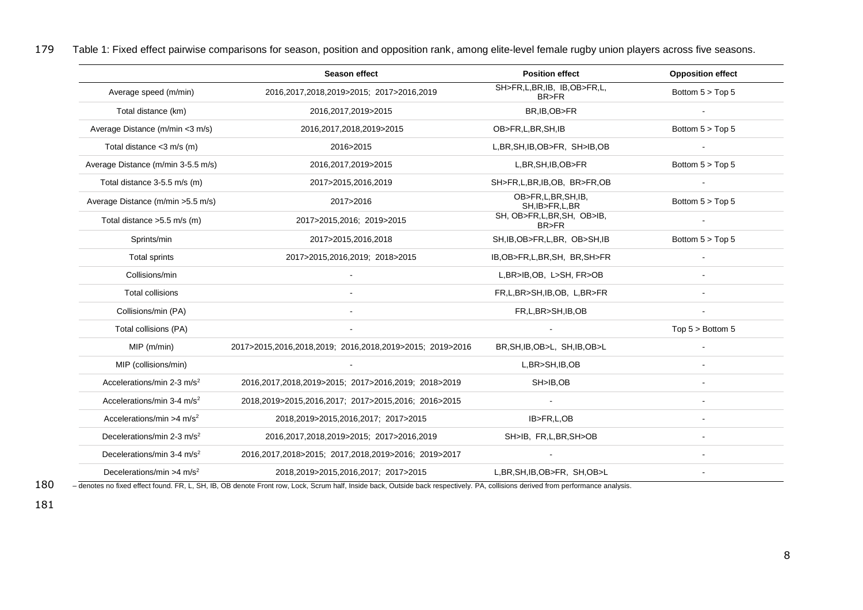179 Table 1: Fixed effect pairwise comparisons for season, position and opposition rank, among elite-level female rugby union players across five seasons.

|                                        | <b>Season effect</b>                                     | <b>Position effect</b>                | <b>Opposition effect</b> |
|----------------------------------------|----------------------------------------------------------|---------------------------------------|--------------------------|
| Average speed (m/min)                  | 2016,2017,2018,2019>2015; 2017>2016,2019                 | SH>FR,L,BR,IB, IB,OB>FR,L,<br>BR>FR   | Bottom $5 > Top 5$       |
| Total distance (km)                    | 2016, 2017, 2019 > 2015                                  | BR, IB, OB>FR                         |                          |
| Average Distance (m/min <3 m/s)        | 2016,2017,2018,2019>2015                                 | OB>FR,L,BR,SH,IB                      | Bottom $5 > Top 5$       |
| Total distance $<$ 3 m/s (m)           | 2016>2015                                                | L, BR, SH, IB, OB > FR, SH > IB, OB   |                          |
| Average Distance (m/min 3-5.5 m/s)     | 2016, 2017, 2019 > 2015                                  | L, BR, SH, IB, OB > FR                | Bottom $5 > Top 5$       |
| Total distance 3-5.5 m/s (m)           | 2017>2015,2016,2019                                      | SH>FR,L,BR,IB,OB, BR>FR,OB            |                          |
| Average Distance (m/min > 5.5 m/s)     | 2017>2016                                                | OB>FR,L,BR,SH,IB,<br>SH, IB>FR, L, BR | Bottom 5 > Top 5         |
| Total distance > 5.5 m/s (m)           | 2017>2015,2016; 2019>2015                                | SH, OB>FR,L,BR,SH, OB>IB,<br>BR>FR    |                          |
| Sprints/min                            | 2017>2015,2016,2018                                      | SH, IB, OB>FR, L, BR, OB>SH, IB       | Bottom 5 > Top 5         |
| Total sprints                          | 2017>2015,2016,2019; 2018>2015                           | IB, OB > FR, L, BR, SH, BR, SH > FR   |                          |
| Collisions/min                         |                                                          | L, BR>IB, OB, L>SH, FR>OB             |                          |
| <b>Total collisions</b>                |                                                          | FR,L,BR>SH,IB,OB, L,BR>FR             |                          |
| Collisions/min (PA)                    |                                                          | FR,L,BR>SH,IB,OB                      |                          |
| Total collisions (PA)                  |                                                          |                                       | Top $5 >$ Bottom $5$     |
| $MIP$ (m/min)                          | 2017>2015,2016,2018,2019; 2016,2018,2019>2015; 2019>2016 | BR, SH, IB, OB>L, SH, IB, OB>L        |                          |
| MIP (collisions/min)                   |                                                          | L,BR>SH,IB,OB                         |                          |
| Accelerations/min 2-3 m/s <sup>2</sup> | 2016,2017,2018,2019>2015; 2017>2016,2019; 2018>2019      | SH>IB,OB                              |                          |
| Accelerations/min 3-4 $m/s2$           | 2018,2019>2015,2016,2017; 2017>2015,2016; 2016>2015      | $\sim$                                |                          |
| Accelerations/min >4 $m/s2$            | 2018,2019>2015,2016,2017; 2017>2015                      | IB>FR,L,OB                            | $\sim$                   |
| Decelerations/min 2-3 m/s <sup>2</sup> | 2016,2017,2018,2019>2015; 2017>2016,2019                 | SH>IB, FR,L,BR,SH>OB                  |                          |
| Decelerations/min 3-4 m/s <sup>2</sup> | 2016,2017,2018>2015; 2017,2018,2019>2016; 2019>2017      |                                       |                          |
| Decelerations/min >4 $m/s2$            | 2018,2019>2015,2016,2017; 2017>2015                      | L, BR, SH, IB, OB > FR, SH, OB > L    |                          |

180 – denotes no fixed effect found. FR, L, SH, IB, OB denote Front row, Lock, Scrum half, Inside back, Outside back respectively. PA, collisions derived from performance analysis.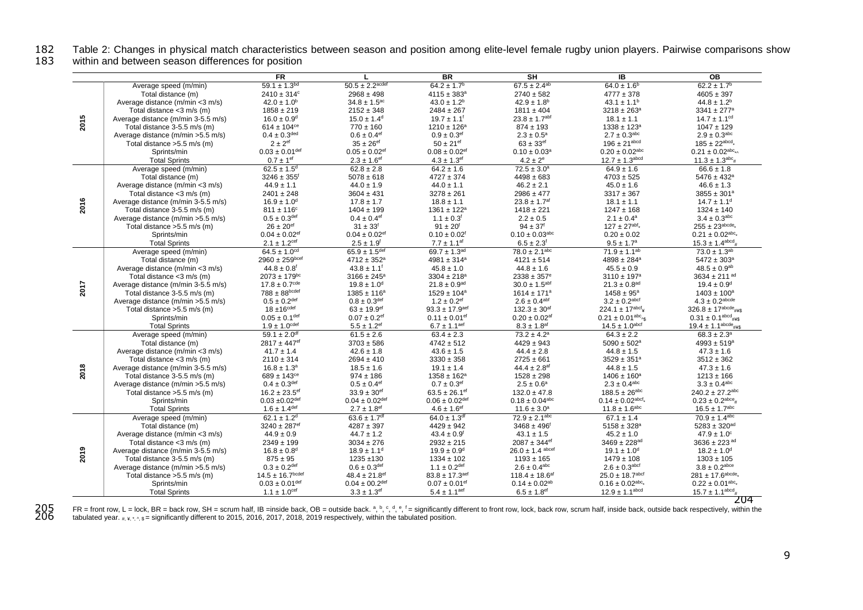182 Table 2: Changes in physical match characteristics between season and position among elite-level female rugby union players. Pairwise comparisons show<br>183 within and between season differences for position

within and between season differences for position

|      |                                    | <b>FR</b>                      |                                 | BR                             | SH                             | IB                                  | OВ                                        |
|------|------------------------------------|--------------------------------|---------------------------------|--------------------------------|--------------------------------|-------------------------------------|-------------------------------------------|
|      | Average speed (m/min)              | $59.1 \pm 1.3^{bd}$            | $50.5 \pm 2.2$ <sup>acdef</sup> | $64.2 \pm 1.7^b$               | $67.5 \pm 2.4^{ab}$            | $64.0 \pm 1.6^b$                    | $62.2 \pm 1.7^b$                          |
|      | Total distance (m)                 | $2410 \pm 314$ <sup>c</sup>    | $2968 \pm 498$                  | $4115 \pm 383^a$               | $2740 \pm 582$                 | $4777 \pm 378$                      | $4605 \pm 397$                            |
|      | Average distance (m/min <3 m/s)    | $42.0 \pm 1.0^b$               | $34.8 \pm 1.5$ <sup>ac</sup>    | $43.0 \pm 1.2^b$               | $42.9 \pm 1.8$ <sup>b</sup>    | $43.1 \pm 1.1^b$                    | $44.8 \pm 1.2^b$                          |
|      | Total distance $<$ 3 m/s (m)       | $1858 \pm 219$                 | $2152 \pm 348$                  | $2484 \pm 267$                 | $1811 \pm 404$                 | $3218 \pm 263^a$                    | $3341 \pm 277$ <sup>a</sup>               |
| 2015 | Average distance (m/min 3-5.5 m/s) | $16.0 \pm 0.9$ <sup>d</sup>    | $15.0 \pm 1.4$ <sup>d</sup>     | $19.7 \pm 1.1$ <sup>f</sup>    | $23.8 \pm 1.7$ abf             | $18.1 \pm 1.1$                      | $14.7 \pm 1.1$ <sup>cd</sup>              |
|      | Total distance 3-5.5 m/s (m)       | $614 \pm 104$ <sup>ce</sup>    | $770 \pm 160$                   | $1210 \pm 126^a$               | $874 \pm 193$                  | $1338 \pm 123^a$                    | $1047 \pm 129$                            |
|      | Average distance (m/min >5.5 m/s)  | $0.4 \pm 0.3^{\text{ded}}$     | $0.6 \pm 0.4$ <sup>ef</sup>     | $0.9 \pm 0.3$ <sup>ef</sup>    | $2.3 \pm 0.5^{\rm a}$          | $2.7 \pm 0.3^{\rm abc}$             | $2.9 \pm 0.3^{abc}$                       |
|      | Total distance > 5.5 m/s (m)       | $2 \pm 2$ <sup>ef</sup>        | $35 \pm 26$ <sup>ef</sup>       | $50 \pm 21$ <sup>ef</sup>      | $63 \pm 33$ <sup>ef</sup>      | $196 \pm 21^{abcd}$                 | $185 \pm 22^{abcd}$                       |
|      | Sprints/min                        | $0.03 \pm 0.01^{\text{def}}$   | $0.05 \pm 0.02$ <sup>ef</sup>   | $0.08 \pm 0.02$ <sup>ef</sup>  | $0.10 \pm 0.03^a$              | $0.20 \pm 0.02^{\text{abc}}$        | $0.21 \pm 0.02^{\text{abc}}$ <sub>*</sub> |
|      | <b>Total Sprints</b>               | $0.7 \pm 1$ <sup>ef</sup>      | $2.3 \pm 1.6$ <sup>ef</sup>     | $4.3 \pm 1.3$ <sup>ef</sup>    | $4.2 \pm 2^e$                  | $12.7 \pm 1.3$ <sup>abcd</sup>      | $11.3 \pm 1.3^{abc}$ #                    |
|      | Average speed (m/min)              | $62.5 \pm 1.5$ <sup>d</sup>    | $62.8 \pm 2.8$                  | $64.2 \pm 1.6$                 | $72.5 \pm 3.0^a$               | $64.9 \pm 1.6$                      | $66.6 \pm 1.8$                            |
|      | Total distance (m)                 | $3246 \pm 355^{\circ}$         | $5078 \pm 618$                  | $4727 \pm 374$                 | $4498 \pm 683$                 | $4703 \pm 525$                      | $5476 \pm 432^a$                          |
|      | Average distance (m/min <3 m/s)    | $44.9 \pm 1.1$                 | $44.0 \pm 1.9$                  | $44.0 \pm 1.1$                 | $46.2 \pm 2.1$                 | $45.0 \pm 1.6$                      | $46.6 \pm 1.3$                            |
|      | Total distance <3 m/s (m)          | $2401 \pm 248$                 | $3604 \pm 431$                  | $3278 \pm 261$                 | $2986 \pm 477$                 | $3317 \pm 367$                      | $3855 \pm 301^a$                          |
|      | Average distance (m/min 3-5.5 m/s) | $16.9 \pm 1.0$ <sup>d</sup>    | $17.8 \pm 1.7$                  | $18.8 \pm 1.1$                 | $23.8 \pm 1.7$ af              | $18.1 \pm 1.1$                      | $14.7 \pm 1.1$ <sup>d</sup>               |
| 2016 |                                    |                                |                                 |                                |                                |                                     |                                           |
|      | Total distance 3-5.5 m/s (m)       | $811 \pm 116^c$                | $1404 \pm 199$                  | $1361 \pm 122^a$               | $1418 \pm 221$                 | $1247 \pm 168$                      | $1324 \pm 140$                            |
|      | Average distance (m/min > 5.5 m/s) | $0.5 \pm 0.3$ def              | $0.4 \pm 0.4$ <sup>ef</sup>     | $1.1 \pm 0.3$ <sup>f</sup>     | $2.2 \pm 0.5$                  | $2.1 \pm 0.4^{\text{a}}$            | $3.4 \pm 0.3^{abc}$                       |
|      | Total distance >5.5 m/s (m)        | $26 \pm 20$ <sup>ef</sup>      | $31 \pm 33^{f}$                 | $91 \pm 20^{6}$                | $94 \pm 37$ <sup>f</sup>       | $127 \pm 27^{abf_*}$                | $255 \pm 23^{abcde_*}$                    |
|      | Sprints/min                        | $0.04 \pm 0.02$ <sup>ef</sup>  | $0.04 \pm 0.02$ <sup>ef</sup>   | $0.10 \pm 0.02$ <sup>f</sup>   | $0.10 \pm 0.03$ <sup>abc</sup> | $0.20 \pm 0.02$                     | $0.21 \pm 0.02^{\text{abc}}$              |
|      | <b>Total Sprints</b>               | $2.1 \pm 1.2^{\text{cef}}$     | $2.5 \pm 1.9^{f}$               | $7.7 \pm 1.1$ <sup>af</sup>    | $6.5 \pm 2.3$ <sup>f</sup>     | $9.5 \pm 1.7^a$                     | $15.3 \pm 1.4^{\text{abcd}}$ #            |
|      | Average speed (m/min)              | $64.5 \pm 1.0^{cd}$            | $65.9 \pm 1.5$ <sup>def</sup>   | 69.7 $\pm$ 1.3 <sup>ad</sup>   | $78.0 \pm 2.1$ <sup>abc</sup>  | $71.9 \pm 1.1^{ab}$                 | $73.0 \pm 1.3^{ab}$                       |
|      | Total distance (m)                 | $2960 \pm 259$ <sub>bcef</sub> | $4712 \pm 352^a$                | $4981 \pm 314^a$               | $4121 \pm 514$                 | $4898 \pm 284^a$                    | $5472 \pm 303^a$                          |
|      | Average distance (m/min <3 m/s)    | $44.8 \pm 0.8$ <sup>f</sup>    | $43.8 \pm 1.1$ <sup>f</sup>     | $45.8 \pm 1.0$                 | $44.8 \pm 1.6$                 | $45.5 \pm 0.9$                      | $48.5 \pm 0.9^{ab}$                       |
|      | Total distance $<$ 3 m/s (m)       | $2073 \pm 179$ <sup>bc</sup>   | $3166 \pm 245^{\circ}$          | $3304 \pm 218^a$               | $2338 \pm 357^{\circ}$         | $3110 \pm 197^a$                    | $3634 \pm 211$ ad                         |
| 2017 | Average distance (m/min 3-5.5 m/s) | $17.8 \pm 0.7$ <sup>cde</sup>  | $19.8 \pm 1.0$ <sup>d</sup>     | $21.8 \pm 0.9$ <sup>ad</sup>   | $30.0 \pm 1.5$ <sup>abf</sup>  | $21.3 \pm 0.8$ <sup>ad</sup>        | $19.4 \pm 0.9$ <sup>d</sup>               |
|      | Total distance 3-5.5 m/s (m)       | $788 \pm 88$ bcdef             | $1385 \pm 116^a$                | $1529 \pm 104^a$               | $1614 \pm 171^a$               | $1458 \pm 95^{\circ}$               | $1403 \pm 100^a$                          |
|      | Average distance (m/min > 5.5 m/s) | $0.5 \pm 0.2$ def              | $0.8 \pm 0.3$ <sup>def</sup>    | $1.2 \pm 0.2$ <sup>ef</sup>    | $2.6 \pm 0.4$ abf              | $3.2 \pm 0.2$ abcf                  | $4.3 \pm 0.2$ abcde                       |
|      | Total distance > 5.5 m/s (m)       | $18 \pm 16^{\text{cdef}}$      | $63 \pm 19.9$ <sup>ef</sup>     | $93.3 \pm 17.9$ <sup>aef</sup> | $132.3 \pm 30$ <sup>af</sup>   | $224.1 \pm 17^{abcf}$               | $326.8 \pm 17^{abcde}$ #¥\$               |
|      | Sprints/min                        | $0.05 \pm 0.1$ <sup>def</sup>  | $0.07 \pm 0.2$ <sup>ef</sup>    | $0.11 \pm 0.01$ <sup>ef</sup>  | $0.20 \pm 0.02$ <sup>af</sup>  | $0.21 \pm 0.01^{abc}$ <sub>^S</sub> | $0.31 \pm 0.1^{\text{abcd}}$ #¥\$         |
|      | <b>Total Sprints</b>               | $1.9 \pm 1.0$ <sup>cdef</sup>  | $5.5 \pm 1.2$ <sup>ef</sup>     | $6.7 \pm 1.1^{\text{aef}}$     | $8.3 \pm 1.8$ <sup>af</sup>    | $14.5 \pm 1.0$ <sup>abcf</sup>      | 19.4 ± 1.1 <sup>abcde</sup> #¥\$          |
|      | Average speed (m/min)              | $59.1 \pm 2.0$ <sup>df</sup>   | $61.5 \pm 2.6$                  | $63.4 \pm 2.3$                 | $73.2 \pm 4.2^a$               | $64.3 \pm 2.2$                      | $68.3 \pm 2.3^{\circ}$                    |
|      | Total distance (m)                 | $2817 \pm 447$ <sup>ef</sup>   | $3703 \pm 586$                  | $4742 \pm 512$                 | $4429 \pm 943$                 | $5090 \pm 502^{\text{a}}$           | $4993 \pm 519^{\rm a}$                    |
|      | Average distance (m/min <3 m/s)    | $41.7 \pm 1.4$                 | $42.6 \pm 1.8$                  | $43.6 \pm 1.5$                 | $44.4 \pm 2.8$                 | $44.8 \pm 1.5$                      | $47.3 \pm 1.6$                            |
|      | Total distance <3 m/s (m)          | $2110 \pm 314$                 | $2694 \pm 410$                  | $3330 \pm 358$                 | $2725 \pm 661$                 | $3529 \pm 351^a$                    | $3512 \pm 362$                            |
| 2018 | Average distance (m/min 3-5.5 m/s) | $16.8 \pm 1.3^a$               | $18.5 \pm 1.6$                  | $19.1 \pm 1.4$                 | 44.4 $\pm 2.8$ <sup>af</sup>   | $44.8 \pm 1.5$                      | $47.3 \pm 1.6$                            |
|      | Total distance 3-5.5 m/s (m)       | $689 \pm 143^{\circ\circ}$     | $974 \pm 186$                   | $1358 \pm 162^a$               | $1528 \pm 298$                 | $1406 \pm 160^a$                    | $1213 \pm 166$                            |
|      | Average distance (m/min > 5.5 m/s) | $0.4 \pm 0.3^{\text{def}}$     | $0.5 \pm 0.4$ <sup>ef</sup>     | $0.7 \pm 0.3$ <sup>ef</sup>    | $2.5 \pm 0.6^a$                | $2.3 \pm 0.4$ <sup>abc</sup>        | $3.3 \pm 0.4^{abc}$                       |
|      | Total distance > 5.5 m/s (m)       | $16.2 \pm 23.5$ <sup>ef</sup>  | $33.9 \pm 30$ <sup>ef</sup>     | $63.5 \pm 26.1$ <sup>ef</sup>  | $132.0 \pm 47.8$               | $188.5 \pm 26^{abc}$                | $240.2 \pm 27.2$ <sup>abc</sup>           |
|      | Sprints/min                        | $0.03 \pm 0.02$ def            | $0.04 \pm 0.02$ def             | $0.06 \pm 0.02$ def            | $0.18 \pm 0.04$ <sup>abc</sup> | $0.14 \pm 0.02$ abcf,               | $0.23 \pm 0.2^{\text{abce}}$ #            |
|      | <b>Total Sprints</b>               | $1.6 \pm 1.4^{\text{def}}$     | $2.7 \pm 1.8$ <sup>ef</sup>     | $4.6 \pm 1.6$ <sup>ef</sup>    | $11.6 \pm 3.0^a$               | $11.8 \pm 1.6^{\rm abc}$            | $16.5 \pm 1.7^{abc}$                      |
|      | Average speed (m/min)              | $62.1 \pm 1.2$ <sup>d</sup>    | $63.6 \pm 1.7$ <sup>df</sup>    | $64.0 \pm 1.3$ <sup>df</sup>   | $72.9 \pm 2.1$ <sup>abc</sup>  | $67.1 \pm 1.4$                      | $70.9 \pm 1.4^{abc}$                      |
|      | Total distance (m)                 | $3240 \pm 287$ <sup>ef</sup>   | $4287 \pm 397$                  | $4429 \pm 942$                 | $3468 \pm 496$ <sup>f</sup>    | $5158 \pm 328^{\rm a}$              | $5283 \pm 320^{ad}$                       |
|      | Average distance (m/min <3 m/s)    | $44.9 \pm 0.9$                 | $44.7 \pm 1.2$                  | $43.4 \pm 0.9$ <sup>f</sup>    | $43.1 \pm 1.5$                 | $45.2 \pm 1.0$                      | $47.9 \pm 1.0^{\circ}$                    |
|      | Total distance $<$ 3 m/s (m)       | $2349 \pm 199$                 | $3034 \pm 276$                  | $2932 \pm 215$                 | $2087 \pm 344$ <sup>ef</sup>   | $3469 \pm 228$ <sup>ad</sup>        | 3636 ± 223 ad                             |
| 2019 | Average distance (m/min 3-5.5 m/s) | $16.8 \pm 0.8$ <sup>d</sup>    | $18.9 \pm 1.1$ <sup>d</sup>     | $19.9 \pm 0.9$ <sup>d</sup>    | $26.0 \pm 1.4$ abcef           | $19.1 \pm 1.0$ <sup>d</sup>         | $18.2 \pm 1.0^d$                          |
|      | Total distance 3-5.5 m/s (m)       | $875 \pm 95$                   | $1235 + 130$                    | $1334 \pm 102$                 | $1193 \pm 165$                 | $1479 \pm 108$                      | $1303 \pm 105$                            |
|      | Average distance (m/min > 5.5 m/s) | $0.3 \pm 0.2^{\text{def}}$     | $0.6 \pm 0.3^{\text{def}}$      | $1.1 \pm 0.2^{\text{def}}$     | $2.6 \pm 0.4$ <sup>abc</sup>   | $2.6 \pm 0.3$ abcf                  | $3.8 \pm 0.2^{\text{abce}}$               |
|      | Total distance > 5.5 m/s (m)       | $14.5 \pm 16.7^{\text{bcdef}}$ | $48.4 \pm 21.8$ ef              | $83.8 \pm 17.3$ <sup>aef</sup> | 118.4 ± 18.6 <sup>af</sup>     | $25.0 \pm 18.7$ <sup>abcf</sup>     | $281 \pm 17.6^{\text{abcde}}$             |
|      | Sprints/min                        | $0.03 \pm 0.01^{\text{def}}$   | $0.04 \pm 00.2$ <sup>def</sup>  | $0.07 \pm 0.01$ <sup>ef</sup>  | $0.14 \pm 0.02^{ab}$           | $0.16 \pm 0.02^{\text{abc}}$        | $0.22 \pm 0.01^{abc}$                     |
|      | <b>Total Sprints</b>               | $1.1 \pm 1.0$ <sup>cef</sup>   | $3.3 \pm 1.3$ ef                | $5.4 \pm 1.1$ <sup>aef</sup>   | $6.5 \pm 1.8$ <sup>ef</sup>    | $12.9 \pm 1.1^{abcd}$               | $15.7 \pm 1.1^{\text{abcd}}$ #            |
|      |                                    |                                |                                 |                                |                                |                                     | 204                                       |

205 FR = front row, L = lock, BR = back row, SH = scrum half, IB =inside back, OB = outside back. a, b, c, d, e, f = significantly different to front row, lock, back row, scrum half, inside back, outside back respectively,  $\overline{206}$  tabulated year.  $\#$ ,  $*\cdot$ ,  $*\cdot$  = significantly different to 2015, 2016, 2017, 2018, 2019 respectively, within the tabulated position.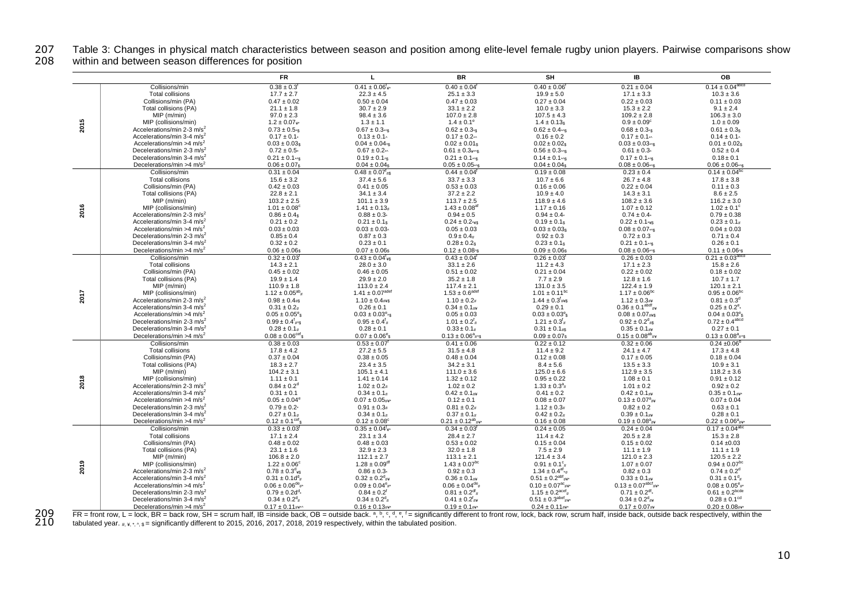207 Table 3: Changes in physical match characteristics between season and position among elite-level female rugby union players. Pairwise comparisons show<br>208 within and between season differences for position

within and between season differences for position

|      |                                                                                 | <b>FR</b>                                                      | L                                                            | <b>BR</b>                                                                  | SH                                                          | IB                                                     | OB                                                          |
|------|---------------------------------------------------------------------------------|----------------------------------------------------------------|--------------------------------------------------------------|----------------------------------------------------------------------------|-------------------------------------------------------------|--------------------------------------------------------|-------------------------------------------------------------|
|      | Collisions/min                                                                  | $0.38 \pm 0.3^{f}$                                             | $0.41 \pm 0.06'$                                             | $0.40 \pm 0.04$ <sup>1</sup>                                               | $0.40 \pm 0.06$                                             | $0.21 \pm 0.04$                                        | $0.14 \pm 0.04^{abcd}$                                      |
|      | <b>Total collisions</b>                                                         | $17.7 \pm 2.7$                                                 | $22.3 \pm 4.5$                                               | $25.1 \pm 3.3$                                                             | $19.9 \pm 5.0$                                              | $17.1 \pm 3.3$                                         | $10.3 \pm 3.6$                                              |
|      | Collisions/min (PA)                                                             | $0.47 \pm 0.02$                                                | $0.50 \pm 0.04$                                              | $0.47 \pm 0.03$                                                            | $0.27 \pm 0.04$                                             | $0.22 \pm 0.03$                                        | $0.11 \pm 0.03$                                             |
|      | Total collisions (PA)                                                           | $21.1 \pm 1.8$                                                 | $30.7 \pm 2.9$                                               | $33.1 \pm 2.2$                                                             | $10.0 \pm 3.3$                                              | $15.3 \pm 2.2$                                         | $9.1 \pm 2.4$                                               |
|      | $MIP$ ( $m/min$ )                                                               | $97.0 \pm 2.3$                                                 | $98.4 \pm 3.6$                                               | $107.0 \pm 2.8$                                                            | $107.5 \pm 4.3$                                             | $109.2 \pm 2.8$                                        | $106.3 \pm 3.0$                                             |
| 2015 | MIP (collisions/min)                                                            | $1.2 \pm 0.07$ is                                              | $1.3 \pm 1.1$                                                | $1.4 \pm 0.1^{\circ}$                                                      | $1.4 \pm 0.13$ s                                            | $0.9 \pm 0.09^{\circ}$                                 | $1.0 \pm 0.09$                                              |
|      | Accelerations/min 2-3 m/s <sup>2</sup>                                          | $0.73 \pm 0.5$ s                                               | $0.67 \pm 0.3$ */s                                           | $0.62 \pm 0.3$ <sup>-s</sup>                                               | $0.62 \pm 0.4$ */\$                                         | $0.68 \pm 0.3$ <sup>-s</sup>                           | $0.61 \pm 0.3s$                                             |
|      | Accelerations/min 3-4 m/s <sup>2</sup>                                          | $0.17 \pm 0.1$                                                 | $0.13 \pm 0.1$                                               | $0.17 \pm 0.2$ *^                                                          | $0.16 \pm 0.2$                                              | $0.17 \pm 0.1$ *^                                      | $0.14 \pm 0.1$                                              |
|      | Accelerations/min >4 $m/s2$                                                     | $0.03 \pm 0.03s$                                               | $0.04 \pm 0.04$ <sub>15</sub>                                | $0.02 \pm 0.01$ \$                                                         | $0.02 \pm 0.02$ s                                           | $0.03 \pm 0.03$ */s                                    | $0.01 \pm 0.02$ \$                                          |
|      | Decelerations/min 2-3 m/s <sup>2</sup>                                          | $0.72 \pm 0.5$                                                 | $0.67 \pm 0.2$ <sub>*</sub>                                  | $0.61 \pm 0.3$ $\frac{3}{10}$                                              | $0.56 \pm 0.3$ */s                                          | $0.61 \pm 0.3$                                         | $0.52 \pm 0.4$                                              |
|      | Decelerations/min 3-4 m/s <sup>2</sup>                                          | $0.21 \pm 0.1$ */s                                             | $0.19 \pm 0.1$ <sub>/s</sub>                                 | $0.21 \pm 0.1$ $\sqrt{s}$                                                  | $0.14 \pm 0.1$ $\sqrt{s}$                                   | $0.17 \pm 0.1$ */s                                     | $0.18 \pm 0.1$                                              |
|      | Decelerations/min >4 $m/s2$                                                     | $0.06 \pm 0.07$ s                                              | $0.04 \pm 0.04s$                                             | $0.05 \pm 0.05$ */s                                                        | $0.04 \pm 0.04$ s                                           | $0.08 \pm 0.06$ *^s                                    | $0.06 \pm 0.06$ */s                                         |
|      | Collisions/min                                                                  | $0.31 \pm 0.04$                                                | $0.48 \pm 0.07$ <sup>t</sup> #\$                             | $0.44 \pm 0.04$                                                            | $0.19 \pm 0.08$                                             | $0.23 \pm 0.4$                                         | $0.14 \pm 0.04^{\text{bc}}$                                 |
|      | <b>Total collisions</b>                                                         | $15.6 \pm 3.2$                                                 | $37.4 \pm 5.6$                                               | $33.7 \pm 3.3$                                                             | $10.7 \pm 6.6$                                              | $26.7 \pm 4.8$                                         | $17.8 \pm 3.8$                                              |
|      | Collisions/min (PA)                                                             | $0.42 \pm 0.03$                                                | $0.41 \pm 0.05$                                              | $0.53 \pm 0.03$                                                            | $0.16 \pm 0.06$                                             | $0.22 \pm 0.04$                                        | $0.11 \pm 0.3$                                              |
|      | Total collisions (PA)                                                           | $22.8 \pm 2.1$                                                 | $34.1 \pm 3.4$                                               | $37.2 \pm 2.2$                                                             | $10.9 \pm 4.0$                                              | $14.3 \pm 3.1$                                         | $8.6 \pm 2.5$                                               |
|      | $MIP$ ( $m/min$ )                                                               | $103.2 \pm 2.5$                                                | $101.1 \pm 3.9$                                              | $113.7 \pm 2.5$<br>$1.43 \pm 0.08$ <sup>al</sup>                           | $118.9 \pm 4.6$                                             | $108.2 \pm 3.6$                                        | $116.2 \pm 3.0$                                             |
| 2016 | MIP (collisions/min)<br>Accelerations/min 2-3 m/s <sup>2</sup>                  | $1.01 \pm 0.08$ <sup>c</sup><br>$0.86 \pm 0.4$ \$              | $1.41 \pm 0.13$ #<br>$0.88 \pm 0.3$                          | $0.94\pm0.5$                                                               | $1.17 \pm 0.16$<br>$0.94 \pm 0.4$                           | $1.07 \pm 0.12$<br>$0.74 \pm 0.4$                      | $1.02 \pm 0.1$ <sup>c</sup><br>$0.79 \pm 0.38$              |
|      | Accelerations/min 3-4 m/s <sup>2</sup>                                          | $0.21 \pm 0.2$                                                 | $0.21 \pm 0.1s$                                              | $0.24 \pm 0.2$ ***                                                         | $0.19 \pm 0.1$ \$                                           | $0.22 \pm 0.1$ ***                                     | $0.23 \pm 0.1$ #                                            |
|      | Accelerations/min >4 $\text{m/s}^2$                                             | $0.03 \pm 0.03$                                                | $0.03 \pm 0.03$                                              | $0.05 \pm 0.03$                                                            | $0.03 \pm 0.03$ s                                           | $0.08 \pm 0.07$ <sub>*/s</sub>                         | $0.04 \pm 0.03$                                             |
|      | Decelerations/min 2-3 m/s <sup>2</sup>                                          | $0.85 \pm 0.4$                                                 | $0.87 \pm 0.3$                                               | $0.9 \pm 0.4$ #                                                            | $0.92 \pm 0.3$                                              | $0.72 \pm 0.3$                                         | $0.71 \pm 0.4$                                              |
|      | Decelerations/min 3-4 m/s <sup>2</sup>                                          | $0.32 \pm 0.2$                                                 | $0.23 \pm 0.1$                                               | $0.28 \pm 0.2$ \$                                                          | $0.23 \pm 0.1$ \$                                           | $0.21 \pm 0.1$ */s                                     | $0.26 \pm 0.1$                                              |
|      | Decelerations/min >4 $\text{m/s}^2$                                             | $0.06 \pm 0.06s$                                               | $0.07 \pm 0.06$ s                                            | $0.12 \pm 0.08$                                                            | $0.09 \pm 0.06$ s                                           | $0.08 \pm 0.06$ *^s                                    | $0.11 \pm 0.06$ <sub>s</sub>                                |
|      | Collisions/min                                                                  | $0.32 \pm 0.03$ <sup>t</sup>                                   | $0.43 \pm 0.04$ <sup>t</sup> <sup>*</sup>                    | $0.43 \pm 0.04$                                                            | $0.26 \pm 0.03$                                             | $0.26 \pm 0.03$                                        | $0.21 \pm 0.03^{abc}$                                       |
|      | <b>Total collisions</b>                                                         | $14.3 \pm 2.1$                                                 | $28.0 \pm 3.0$                                               | $33.1 \pm 2.6$                                                             | $11.2 \pm 4.3$                                              | $17.1 \pm 2.3$                                         | $15.8 \pm 2.6$                                              |
|      | Collisions/min (PA)                                                             | $0.45 \pm 0.02$                                                | $0.46 \pm 0.05$                                              | $0.51 \pm 0.02$                                                            | $0.21 \pm 0.04$                                             | $0.22 \pm 0.02$                                        | $0.18 \pm 0.02$                                             |
|      | Total collisions (PA)                                                           | $19.9 \pm 1.4$                                                 | $29.9 \pm 2.0$                                               | $35.2 \pm 1.8$                                                             | $7.7 \pm 2.9$                                               | $12.8 \pm 1.6$                                         | $10.7 \pm 1.7$                                              |
|      | MIP(m/min)                                                                      | $110.9 \pm 1.8$                                                | $113.0 \pm 2.4$                                              | $117.4 \pm 2.1$                                                            | $131.0 \pm 3.5$                                             | $122.4 \pm 1.9$                                        | $120.1 \pm 2.1$                                             |
| 2017 | MIP (collisions/min)                                                            | $1.12 \pm 0.05^{ab}$                                           | $1.41 \pm 0.07^{\text{adef}}$                                | $1.53 \pm 0.6$ <sup>adef</sup>                                             | $1.01 \pm 0.11^{bc}$                                        | $1.17 \pm 0.06^{bc}$                                   | $0.95 \pm 0.06^{\rm bc}$                                    |
|      | Accelerations/min 2-3 m/s <sup>2</sup>                                          | $0.98 \pm 0.4$ #\$                                             | $1.10 \pm 0.4$ #¥\$                                          | $1.10 \pm 0.2$ #                                                           | $1.44 \pm 0.3$ <sup>f</sup> #¥\$                            | $1.12 \pm 0.3$ #¥                                      | $0.81 \pm 0.3^{\circ}$                                      |
|      | Accelerations/min 3-4 m/s <sup>2</sup>                                          | $0.31 \pm 0.2$ #                                               | $0.26 \pm 0.1$                                               | $0.34 \pm 0.1$ #¥                                                          | $0.29 \pm 0.1$                                              | $0.36 \pm 0.1$ <sup>abdf</sup> #¥                      | $0.25 \pm 0.2$ <sup>e</sup> *                               |
|      | Accelerations/min >4 $\text{m/s}^2$                                             | $0.05 \pm 0.05$ <sup>e</sup> s                                 | $0.03 \pm 0.03^{\circ}$ <sub>^\$</sub>                       | $0.05 \pm 0.03$                                                            | $0.03 \pm 0.03$ <sup>e</sup> s                              | $0.08 \pm 0.07$ #¥\$                                   | $0.04 \pm 0.03$ <sup>e</sup> s                              |
|      | Decelerations/min 2-3 m/s <sup>2</sup>                                          | $0.99 \pm 0.4^{f}$ #\\$                                        | $0.95 \pm 0.4^{\dagger}$                                     | $1.01 \pm 0.2^{\dagger}$                                                   | $1.21 \pm 0.3^{\dagger}$                                    | $0.92 \pm 0.2$ <sup>d</sup> #\$                        | $0.72 \pm 0.4^{\text{abcd}}$                                |
|      | Decelerations/min 3-4 m/s <sup>2</sup>                                          | $0.28 \pm 0.1$ #                                               | $0.28 \pm 0.1$                                               | $0.33 \pm 0.1$ #                                                           | $0.31 \pm 0.1$ #\$                                          | $0.35 \pm 0.1$ #¥                                      | $0.27 \pm 0.1$                                              |
|      | Decelerations/min >4 $m/s2$                                                     | $0.08 \pm 0.06$ <sup>cef</sup>                                 | $0.07 \pm 0.06^{\circ}$                                      | $0.13 \pm 0.06^a$ <sub>#^\$</sub>                                          | $0.09 \pm 0.07$ s                                           | $0.15 \pm 0.08^{ab}$ #¥                                | $0.13 \pm 0.08^a$ <sub>#^\$</sub>                           |
|      | Collisions/min<br><b>Total collisions</b>                                       | $0.38 \pm 0.03$                                                | $0.53 \pm 0.07$                                              | $0.41 \pm 0.06$                                                            | $0.22 \pm 0.12$                                             | $0.32 \pm 0.06$                                        | $0.24 \pm 0.06^b$                                           |
|      | Collisions/min (PA)                                                             | $17.8 \pm 4.2$<br>$0.37 \pm 0.04$                              | $27.2 \pm 5.5$<br>$0.38 \pm 0.05$                            | $31.5 \pm 4.8$<br>$0.48 \pm 0.04$                                          | $11.4 \pm 9.2$<br>$0.12 \pm 0.08$                           | $24.1 \pm 4.7$<br>$0.17 \pm 0.05$                      | $17.3 \pm 4.8$<br>$0.18 \pm 0.04$                           |
|      | Total collisions (PA)                                                           | $18.3 \pm 2.7$                                                 | $23.4 \pm 3.5$                                               | $34.2 \pm 3.1$                                                             | $8.4 \pm 5.6$                                               | $13.5 \pm 3.3$                                         | $10.9 \pm 3.1$                                              |
|      | $MIP$ ( $m/min$ )                                                               | $104.2 \pm 3.1$                                                | $105.1 \pm 4.1$                                              | $111.0 \pm 3.6$                                                            | $125.0 \pm 6.6$                                             | $112.9 \pm 3.5$                                        | $118.2 \pm 3.6$                                             |
|      | MIP (collisions/min)                                                            | $1.11 \pm 0.1$                                                 | $1.41 \pm 0.14$                                              | $1.32 \pm 0.12$                                                            | $0.95 \pm 0.22$                                             | $1.08 \pm 0.1$                                         | $0.91 \pm 0.12$                                             |
| 2018 | Accelerations/min 2-3 m/s <sup>2</sup>                                          | $0.84 \pm 0.2$ <sup>d</sup>                                    | $1.02 \pm 0.2$ #                                             | $1.02 \pm 0.2$                                                             | $1.33 \pm 0.3^a$                                            | $1.01 \pm 0.2$                                         | $0.92 \pm 0.2$                                              |
|      | Accelerations/min 3-4 m/s <sup>2</sup>                                          | $0.31 \pm 0.1$                                                 | $0.34 \pm 0.1$ #                                             | $0.42 \pm 0.1$ #¥                                                          | $0.41 \pm 0.2$                                              | $0.42 \pm 0.1$ #¥                                      | $0.35 \pm 0.1$ #¥*                                          |
|      | Accelerations/min >4 $\text{m/s}^2$                                             | $0.05 \pm 0.04^e$                                              | $0.07 \pm 0.05$ #¥*                                          | $0.12 \pm 0.1$                                                             | $0.08 \pm 0.07$                                             | $0.13 \pm 0.07^a_{\#x}$                                | $0.07 \pm 0.04$                                             |
|      | Decelerations/min 2-3 m/s <sup>2</sup>                                          | $0.79\pm0.2\cdot$                                              | $0.91 \pm 0.3$ #                                             | $0.81 \pm 0.2$ #                                                           | $1.12 \pm 0.3$ #                                            | $0.82\pm0.2$                                           | $0.63 \pm 0.1$                                              |
|      | Decelerations/min 3-4 m/s <sup>2</sup>                                          | $0.27 \pm 0.1_{\#}$                                            | $0.34 \pm 0.1_{\#}$                                          | $0.37 \pm 0.1_*$                                                           | $0.42 \pm 0.2$ #                                            | $0.39 \pm 0.1$ #¥                                      | $0.28 \pm 0.1$                                              |
|      | Decelerations/min >4 $m/s2$                                                     | $0.12 \pm 0.1^{\text{cef}}$                                    | $0.12 \pm 0.08^c$                                            | $0.21 \pm 0.12^{ab}$ #¥*                                                   | $0.16 \pm 0.08$                                             | $0.19 \pm 0.08^a_{\#}$                                 | $0.22 \pm 0.06^a$ #¥                                        |
|      | Collisions/min                                                                  | $0.33 \pm 0.03$ <sup>f</sup>                                   | $0.35 \pm 0.04^{\dagger}$                                    | $0.34 \pm 0.03$                                                            | $0.24 \pm 0.05$                                             | $0.24 \pm 0.04$                                        | $0.17 \pm 0.04^{abc}$                                       |
|      | <b>Total collisions</b>                                                         | $17.1 \pm 2.4$                                                 | $23.1 \pm 3.4$                                               | $28.4 \pm 2.7$                                                             | $11.4 \pm 4.2$                                              | $20.5 \pm 2.8$                                         | $15.3 \pm 2.8$                                              |
|      | Collisions/min (PA)                                                             | $0.48 \pm 0.02$                                                | $0.48 \pm 0.03$                                              | $0.53 \pm 0.02$                                                            | $0.15 \pm 0.04$                                             | $0.15 \pm 0.02$                                        | $0.14 \pm 0.03$                                             |
|      | Total collisions (PA)                                                           | $23.1 \pm 1.6$                                                 | $32.9 \pm 2.3$                                               | $32.0 \pm 1.8$                                                             | $7.5 \pm 2.9$                                               | $11.1 \pm 1.9$                                         | $11.1 \pm 1.9$                                              |
|      | $MIP$ ( $m/min$ )                                                               | $106.8 \pm 2.0$                                                | $112.1 \pm 2.7$                                              | $113.1 \pm 2.1$                                                            | $121.4 \pm 3.4$                                             | $121.0 \pm 2.3$                                        | $120.5 \pm 2.2$                                             |
| 2019 | MIP (collisions/min)                                                            | $1.22 \pm 0.06^{\circ}$                                        | $1.28 \pm 0.09$ <sup>df</sup>                                | $1.43 \pm 0.07$ <sup>bc</sup>                                              | $0.91 \pm 0.1\degree$                                       | $1.07 \pm 0.07$                                        | $0.94 \pm 0.07$ <sup>bc</sup>                               |
|      | Accelerations/min 2-3 m/s <sup>2</sup>                                          | $0.78 \pm 0.3$ <sup>d</sup> $\frac{4}{5}$                      | $0.86 \pm 0.3$                                               | $0.92 \pm 0.3$                                                             | $1.34 \pm 0.4$ <sup>af</sup> $_{\ast}$                      | $0.82 \pm 0.3$                                         | $0.74 \pm 0.2$ <sup>d</sup>                                 |
|      | Accelerations/min 3-4 m/s <sup>2</sup>                                          | $0.31 \pm 0.1d^d$                                              | $0.32 \pm 0.2$ <sup>d</sup> #¥<br>$0.09 \pm 0.04^{\circ}$ #* | $0.36 \pm 0.1$ #¥                                                          | $0.51 \pm 0.2^{abf}$ #¥*<br>$0.10 \pm 0.07^{\text{ac}}$ #¥* | $0.33 \pm 0.1$ #¥<br>$0.13 \pm 0.07^{\text{abcf}}$ #¥* | $0.31 \pm 0.1$ <sup>d</sup> #<br>$0.08 \pm 0.05^{\circ}$ #* |
|      | Accelerations/min >4 m/s <sup>2</sup><br>Decelerations/min 2-3 m/s <sup>2</sup> | $0.06 \pm 0.06^{\text{de}}$ #<br>$0.79 \pm 0.2$ d <sup>d</sup> | $0.84 \pm 0.2$ <sup>f</sup>                                  | $0.06 \pm 0.04^{\text{de}}$ #<br>$0.81 \pm 0.2$ <sup>df</sup> <sub>#</sub> | $1.15 \pm 0.2^{\text{acef}}$                                | $0.71 \pm 0.2$ <sup>df</sup> *                         | $0.61 \pm 0.2^{bcde}$                                       |
|      | Decelerations/min 3-4 m/s <sup>2</sup>                                          | $0.34 \pm 0.2$ <sup>d</sup> <sup>#</sup>                       | $0.34 \pm 0.2$ <sup>d</sup> #                                | $0.41 \pm 0.2$ <sup>f</sup> #*                                             | $0.51 \pm 0.3^{abef}$ #¥*                                   | $0.34 \pm 0.2$ <sup>d</sup> #¥                         | $0.28 \pm 0.1$ <sup>cd</sup>                                |
|      | Decelerations/min >4 $m/s2$                                                     | $0.17 \pm 0.11$ #¥*^                                           | $0.16 \pm 0.13$ #¥*                                          | $0.19 \pm 0.1$ #¥*                                                         | $0.24 \pm 0.11$ #¥*                                         | $0.17 \pm 0.07$ #¥                                     | $0.20 \pm 0.08$ #¥*                                         |

209 FR = front row, L = lock, BR = back row, SH = scrum half, IB =inside back, OB = outside back. a, b, c, d, e, f = significantly different to front row, lock, back row, scrum half, inside back, outside back respectively,

 $\overline{210}$  tabulated year. #, \*, \*, \*, \* = significantly different to 2015, 2016, 2017, 2018, 2019 respectively, within the tabulated position.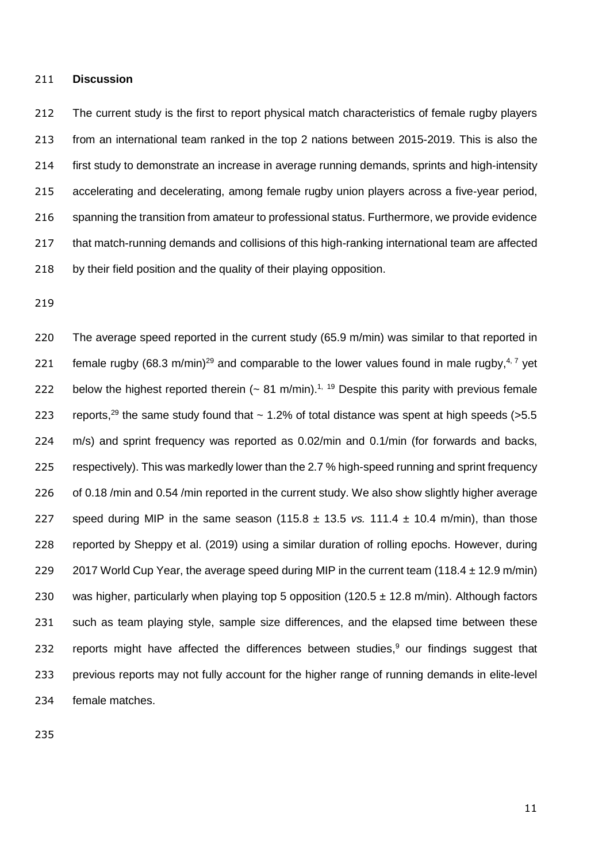#### 211 **Discussion**

212 The current study is the first to report physical match characteristics of female rugby players 213 from an international team ranked in the top 2 nations between 2015-2019. This is also the 214 first study to demonstrate an increase in average running demands, sprints and high-intensity 215 accelerating and decelerating, among female rugby union players across a five-year period, 216 spanning the transition from amateur to professional status. Furthermore, we provide evidence 217 that match-running demands and collisions of this high-ranking international team are affected 218 by their field position and the quality of their playing opposition.

219

220 The average speed reported in the current study (65.9 m/min) was similar to that reported in 221 female rugby (68.3 m/min)<sup>29</sup> and comparable to the lower values found in male rugby,<sup>4,7</sup> yet 222 below the highest reported therein  $(-81 \text{ m/min})$ <sup>1, 19</sup> Despite this parity with previous female 223 reports,<sup>29</sup> the same study found that  $\sim$  1.2% of total distance was spent at high speeds (>5.5 224 m/s) and sprint frequency was reported as 0.02/min and 0.1/min (for forwards and backs, 225 respectively). This was markedly lower than the 2.7 % high-speed running and sprint frequency 226 of 0.18 /min and 0.54 /min reported in the current study. We also show slightly higher average 227 speed during MIP in the same season  $(115.8 \pm 13.5 \text{ vs. } 111.4 \pm 10.4 \text{ m/min})$ , than those 228 reported by Sheppy et al. (2019) using a similar duration of rolling epochs. However, during 229 2017 World Cup Year, the average speed during MIP in the current team (118.4  $\pm$  12.9 m/min) 230 was higher, particularly when playing top 5 opposition (120.5  $\pm$  12.8 m/min). Although factors 231 such as team playing style, sample size differences, and the elapsed time between these 232 reports might have affected the differences between studies, $9$  our findings suggest that 233 previous reports may not fully account for the higher range of running demands in elite-level 234 female matches.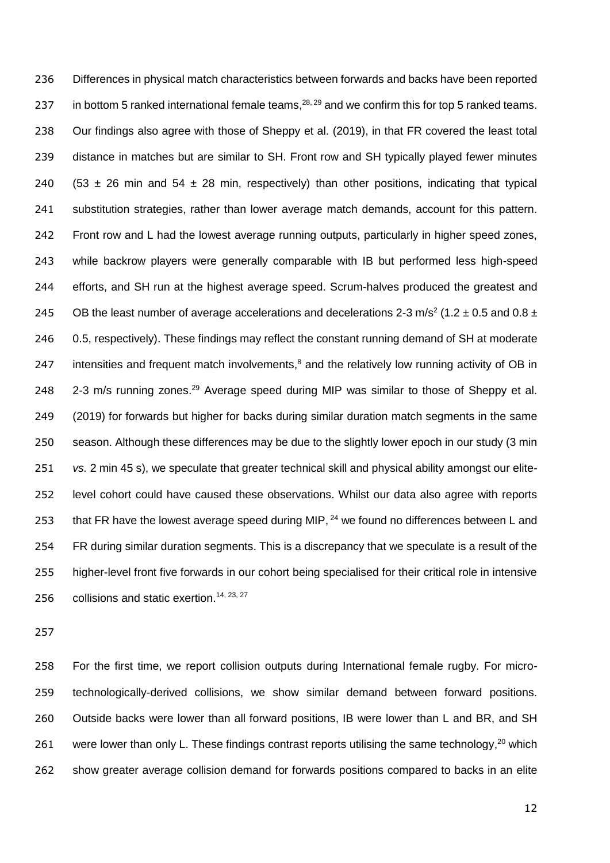Differences in physical match characteristics between forwards and backs have been reported 237 in bottom 5 ranked international female teams,  $28, 29$  and we confirm this for top 5 ranked teams. Our findings also agree with those of Sheppy et al. (2019), in that FR covered the least total distance in matches but are similar to SH. Front row and SH typically played fewer minutes 240 (53  $\pm$  26 min and 54  $\pm$  28 min, respectively) than other positions, indicating that typical substitution strategies, rather than lower average match demands, account for this pattern. Front row and L had the lowest average running outputs, particularly in higher speed zones, while backrow players were generally comparable with IB but performed less high-speed efforts, and SH run at the highest average speed. Scrum-halves produced the greatest and 245 OB the least number of average accelerations and decelerations 2-3 m/s<sup>2</sup> (1.2  $\pm$  0.5 and 0.8  $\pm$ 246 0.5, respectively). These findings may reflect the constant running demand of SH at moderate 247 intensities and frequent match involvements, $<sup>8</sup>$  and the relatively low running activity of OB in</sup>  $2-3$  m/s running zones.<sup>29</sup> Average speed during MIP was similar to those of Sheppy et al. (2019) for forwards but higher for backs during similar duration match segments in the same season. Although these differences may be due to the slightly lower epoch in our study (3 min *vs.* 2 min 45 s), we speculate that greater technical skill and physical ability amongst our elite- level cohort could have caused these observations. Whilst our data also agree with reports 253 that FR have the lowest average speed during MIP, <sup>24</sup> we found no differences between L and FR during similar duration segments. This is a discrepancy that we speculate is a result of the higher-level front five forwards in our cohort being specialised for their critical role in intensive 256 collisions and static exertion.<sup>14, 23, 27</sup>

 For the first time, we report collision outputs during International female rugby. For micro- technologically-derived collisions, we show similar demand between forward positions. 260 Outside backs were lower than all forward positions, IB were lower than L and BR, and SH 261 were lower than only L. These findings contrast reports utilising the same technology, which show greater average collision demand for forwards positions compared to backs in an elite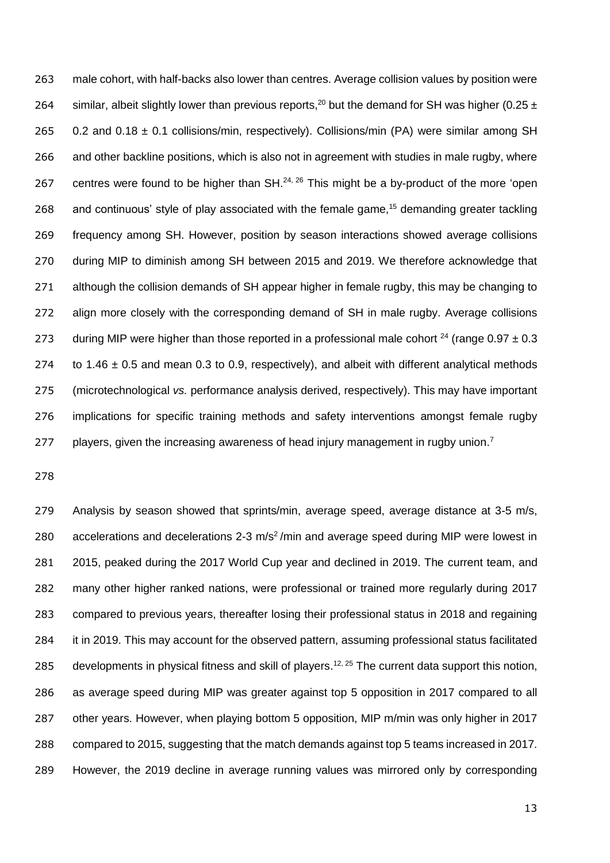male cohort, with half-backs also lower than centres. Average collision values by position were 264 similar, albeit slightly lower than previous reports,<sup>20</sup> but the demand for SH was higher (0.25  $\pm$ 265 0.2 and  $0.18 \pm 0.1$  collisions/min, respectively). Collisions/min (PA) were similar among SH and other backline positions, which is also not in agreement with studies in male rugby, where 267 centres were found to be higher than SH. $^{24, 26}$  This might be a by-product of the more 'open 268 and continuous' style of play associated with the female game,<sup>15</sup> demanding greater tackling frequency among SH. However, position by season interactions showed average collisions during MIP to diminish among SH between 2015 and 2019. We therefore acknowledge that 271 although the collision demands of SH appear higher in female rugby, this may be changing to align more closely with the corresponding demand of SH in male rugby. Average collisions 273 during MIP were higher than those reported in a professional male cohort  $^{24}$  (range 0.97  $\pm$  0.3 274 to 1.46  $\pm$  0.5 and mean 0.3 to 0.9, respectively), and albeit with different analytical methods (microtechnological *vs.* performance analysis derived, respectively). This may have important implications for specific training methods and safety interventions amongst female rugby 277 players, given the increasing awareness of head injury management in rugby union.<sup>7</sup>

 Analysis by season showed that sprints/min, average speed, average distance at 3-5 m/s, 280 accelerations and decelerations  $2-3$  m/s<sup>2</sup>/min and average speed during MIP were lowest in 2015, peaked during the 2017 World Cup year and declined in 2019. The current team, and many other higher ranked nations, were professional or trained more regularly during 2017 compared to previous years, thereafter losing their professional status in 2018 and regaining it in 2019. This may account for the observed pattern, assuming professional status facilitated 285 developments in physical fitness and skill of players.<sup>12, 25</sup> The current data support this notion, as average speed during MIP was greater against top 5 opposition in 2017 compared to all other years. However, when playing bottom 5 opposition, MIP m/min was only higher in 2017 compared to 2015, suggesting that the match demands against top 5 teams increased in 2017. However, the 2019 decline in average running values was mirrored only by corresponding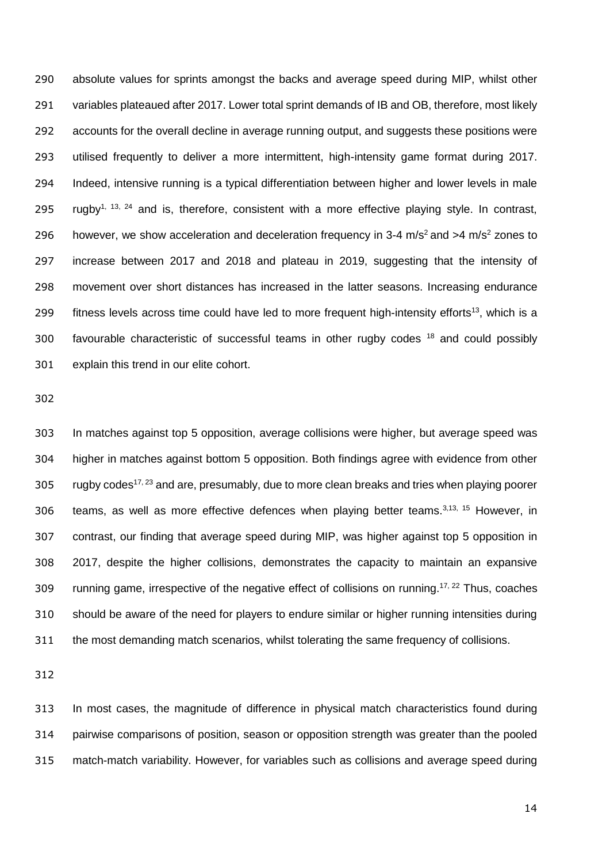absolute values for sprints amongst the backs and average speed during MIP, whilst other 291 variables plateaued after 2017. Lower total sprint demands of IB and OB, therefore, most likely accounts for the overall decline in average running output, and suggests these positions were utilised frequently to deliver a more intermittent, high-intensity game format during 2017. Indeed, intensive running is a typical differentiation between higher and lower levels in male 295 rugby<sup>1, 13, 24</sup> and is, therefore, consistent with a more effective playing style. In contrast, 296 however, we show acceleration and deceleration frequency in 3-4 m/s<sup>2</sup> and  $>4$  m/s<sup>2</sup> zones to increase between 2017 and 2018 and plateau in 2019, suggesting that the intensity of movement over short distances has increased in the latter seasons. Increasing endurance 299 fitness levels across time could have led to more frequent high-intensity efforts<sup>13</sup>, which is a 300 favourable characteristic of successful teams in other rugby codes and could possibly explain this trend in our elite cohort.

 In matches against top 5 opposition, average collisions were higher, but average speed was higher in matches against bottom 5 opposition. Both findings agree with evidence from other 305 rugby codes<sup>17, 23</sup> and are, presumably, due to more clean breaks and tries when playing poorer 306 teams, as well as more effective defences when playing better teams.  $3,13, 15$  However, in contrast, our finding that average speed during MIP, was higher against top 5 opposition in 2017, despite the higher collisions, demonstrates the capacity to maintain an expansive 309 running game, irrespective of the negative effect of collisions on running.<sup>17, 22</sup> Thus, coaches should be aware of the need for players to endure similar or higher running intensities during the most demanding match scenarios, whilst tolerating the same frequency of collisions.

 In most cases, the magnitude of difference in physical match characteristics found during pairwise comparisons of position, season or opposition strength was greater than the pooled match-match variability. However, for variables such as collisions and average speed during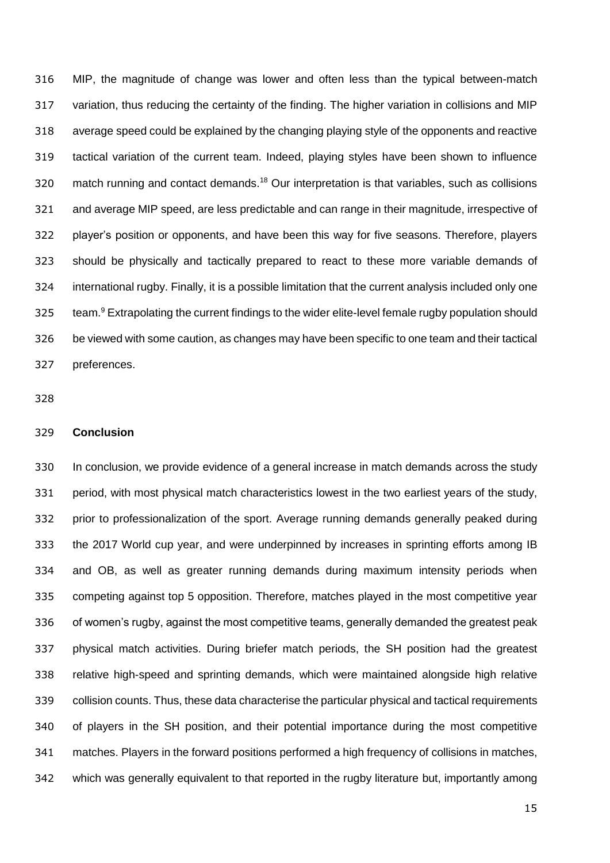MIP, the magnitude of change was lower and often less than the typical between-match variation, thus reducing the certainty of the finding. The higher variation in collisions and MIP average speed could be explained by the changing playing style of the opponents and reactive tactical variation of the current team. Indeed, playing styles have been shown to influence 320 match running and contact demands.<sup>18</sup> Our interpretation is that variables, such as collisions and average MIP speed, are less predictable and can range in their magnitude, irrespective of player's position or opponents, and have been this way for five seasons. Therefore, players should be physically and tactically prepared to react to these more variable demands of international rugby. Finally, it is a possible limitation that the current analysis included only one 325 team.<sup>9</sup> Extrapolating the current findings to the wider elite-level female rugby population should be viewed with some caution, as changes may have been specific to one team and their tactical preferences.

## **Conclusion**

 In conclusion, we provide evidence of a general increase in match demands across the study period, with most physical match characteristics lowest in the two earliest years of the study, prior to professionalization of the sport. Average running demands generally peaked during the 2017 World cup year, and were underpinned by increases in sprinting efforts among IB and OB, as well as greater running demands during maximum intensity periods when competing against top 5 opposition. Therefore, matches played in the most competitive year of women's rugby, against the most competitive teams, generally demanded the greatest peak physical match activities. During briefer match periods, the SH position had the greatest relative high-speed and sprinting demands, which were maintained alongside high relative collision counts. Thus, these data characterise the particular physical and tactical requirements of players in the SH position, and their potential importance during the most competitive matches. Players in the forward positions performed a high frequency of collisions in matches, which was generally equivalent to that reported in the rugby literature but, importantly among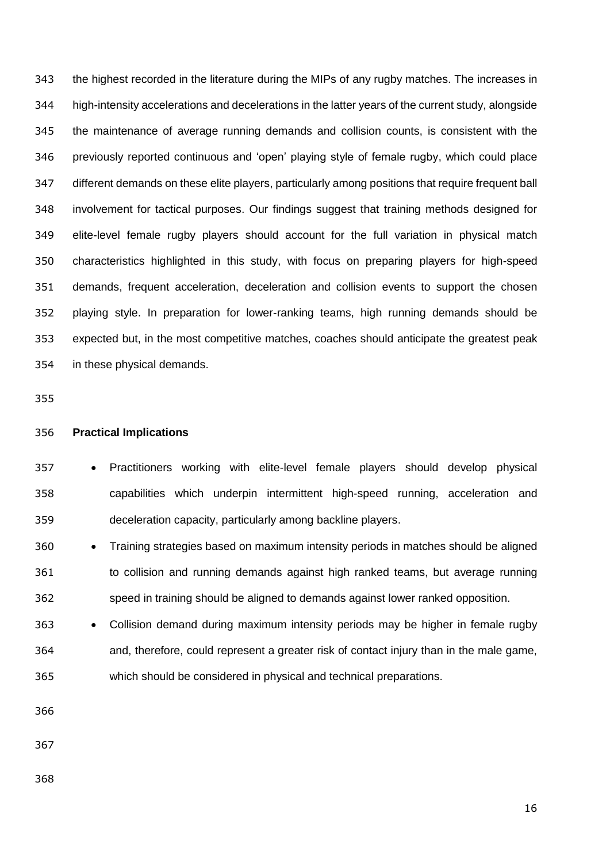the highest recorded in the literature during the MIPs of any rugby matches. The increases in high-intensity accelerations and decelerations in the latter years of the current study, alongside the maintenance of average running demands and collision counts, is consistent with the previously reported continuous and 'open' playing style of female rugby, which could place different demands on these elite players, particularly among positions that require frequent ball involvement for tactical purposes. Our findings suggest that training methods designed for elite-level female rugby players should account for the full variation in physical match characteristics highlighted in this study, with focus on preparing players for high-speed demands, frequent acceleration, deceleration and collision events to support the chosen playing style. In preparation for lower-ranking teams, high running demands should be expected but, in the most competitive matches, coaches should anticipate the greatest peak in these physical demands.

### **Practical Implications**

357 • Practitioners working with elite-level female players should develop physical capabilities which underpin intermittent high-speed running, acceleration and deceleration capacity, particularly among backline players.

360 • Training strategies based on maximum intensity periods in matches should be aligned to collision and running demands against high ranked teams, but average running speed in training should be aligned to demands against lower ranked opposition.

 Collision demand during maximum intensity periods may be higher in female rugby and, therefore, could represent a greater risk of contact injury than in the male game, which should be considered in physical and technical preparations.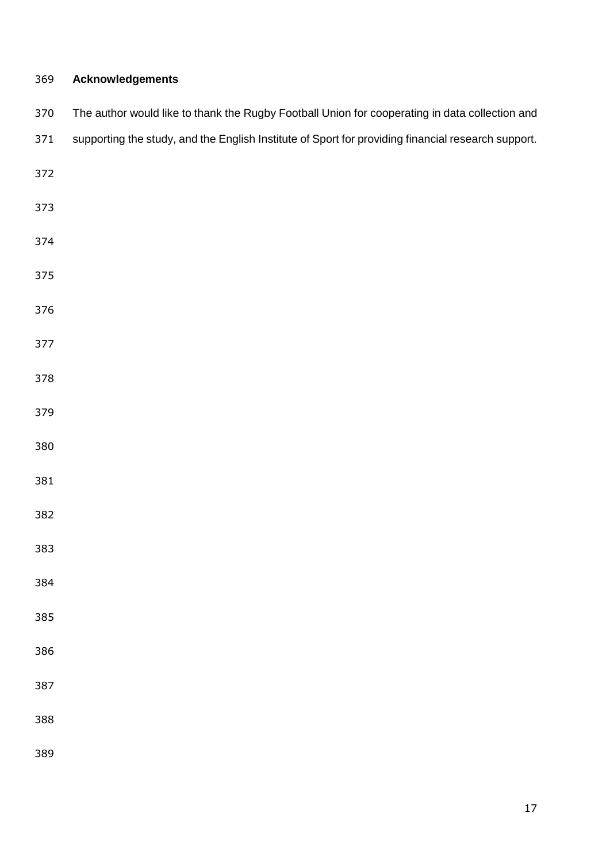| 369 | <b>Acknowledgements</b>                                                                            |
|-----|----------------------------------------------------------------------------------------------------|
| 370 | The author would like to thank the Rugby Football Union for cooperating in data collection and     |
| 371 | supporting the study, and the English Institute of Sport for providing financial research support. |
| 372 |                                                                                                    |
| 373 |                                                                                                    |
| 374 |                                                                                                    |
| 375 |                                                                                                    |
| 376 |                                                                                                    |
| 377 |                                                                                                    |
| 378 |                                                                                                    |
| 379 |                                                                                                    |
| 380 |                                                                                                    |
| 381 |                                                                                                    |
| 382 |                                                                                                    |
| 383 |                                                                                                    |
| 384 |                                                                                                    |
| 385 |                                                                                                    |
| 386 |                                                                                                    |
| 387 |                                                                                                    |
| 388 |                                                                                                    |
| 389 |                                                                                                    |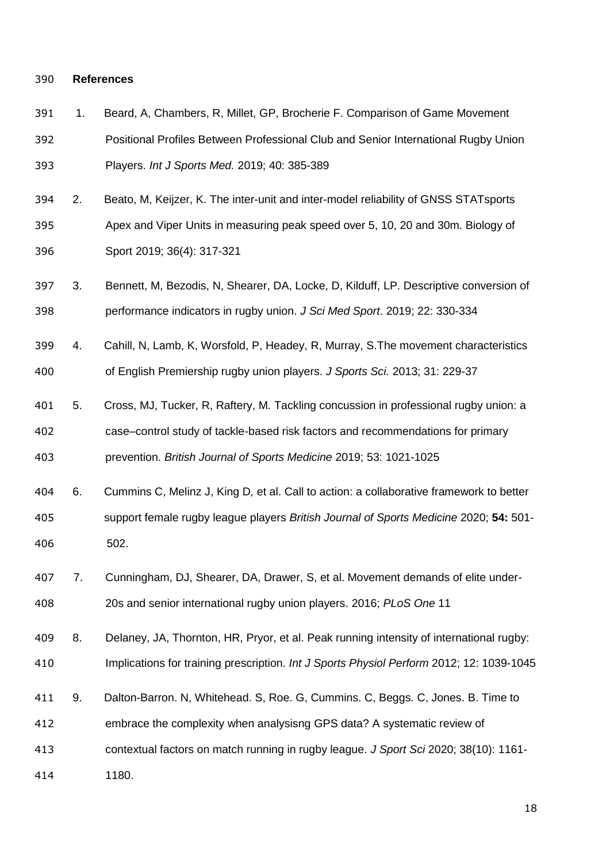## **References**

| 391 | 1. | Beard, A, Chambers, R, Millet, GP, Brocherie F. Comparison of Game Movement              |
|-----|----|------------------------------------------------------------------------------------------|
| 392 |    | Positional Profiles Between Professional Club and Senior International Rugby Union       |
| 393 |    | Players. Int J Sports Med. 2019; 40: 385-389                                             |
| 394 | 2. | Beato, M, Keijzer, K. The inter-unit and inter-model reliability of GNSS STATsports      |
| 395 |    | Apex and Viper Units in measuring peak speed over 5, 10, 20 and 30m. Biology of          |
| 396 |    | Sport 2019; 36(4): 317-321                                                               |
| 397 | 3. | Bennett, M, Bezodis, N, Shearer, DA, Locke, D, Kilduff, LP. Descriptive conversion of    |
| 398 |    | performance indicators in rugby union. J Sci Med Sport. 2019; 22: 330-334                |
| 399 | 4. | Cahill, N, Lamb, K, Worsfold, P, Headey, R, Murray, S. The movement characteristics      |
| 400 |    | of English Premiership rugby union players. J Sports Sci. 2013; 31: 229-37               |
| 401 | 5. | Cross, MJ, Tucker, R, Raftery, M. Tackling concussion in professional rugby union: a     |
| 402 |    | case-control study of tackle-based risk factors and recommendations for primary          |
| 403 |    | prevention. British Journal of Sports Medicine 2019; 53: 1021-1025                       |
| 404 | 6. | Cummins C, Melinz J, King D, et al. Call to action: a collaborative framework to better  |
| 405 |    | support female rugby league players British Journal of Sports Medicine 2020; 54: 501-    |
| 406 |    | 502.                                                                                     |
| 407 | 7. | Cunningham, DJ, Shearer, DA, Drawer, S, et al. Movement demands of elite under-          |
| 408 |    | 20s and senior international rugby union players. 2016; PLoS One 11                      |
| 409 | 8. | Delaney, JA, Thornton, HR, Pryor, et al. Peak running intensity of international rugby:  |
| 410 |    | Implications for training prescription. Int J Sports Physiol Perform 2012; 12: 1039-1045 |
| 411 | 9. | Dalton-Barron. N, Whitehead. S, Roe. G, Cummins. C, Beggs. C, Jones. B. Time to          |
| 412 |    | embrace the complexity when analysisng GPS data? A systematic review of                  |
| 413 |    | contextual factors on match running in rugby league. J Sport Sci 2020; 38(10): 1161-     |
| 414 |    | 1180.                                                                                    |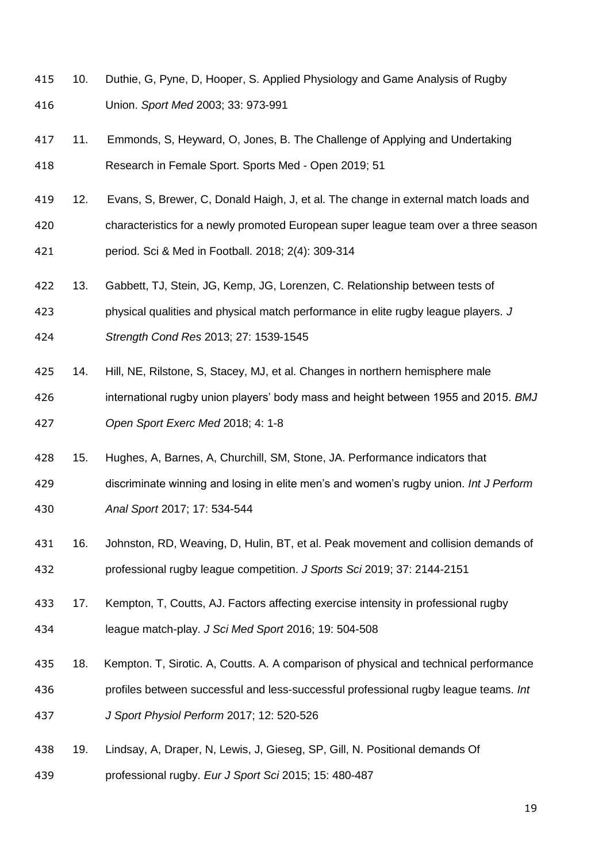- 10. Duthie, G, Pyne, D, Hooper, S. Applied Physiology and Game Analysis of Rugby Union. *Sport Med* 2003; 33: 973-991
- 11. Emmonds, S, Heyward, O, Jones, B. The Challenge of Applying and Undertaking Research in Female Sport. Sports Med - Open 2019; 51
- 419 12. Evans, S, Brewer, C, Donald Haigh, J, et al. The change in external match loads and characteristics for a newly promoted European super league team over a three season period. Sci & Med in Football. 2018; 2(4): 309-314
- 13. Gabbett, TJ, Stein, JG, Kemp, JG, Lorenzen, C. Relationship between tests of
- physical qualities and physical match performance in elite rugby league players. *J*

*Strength Cond Res* 2013; 27: 1539-1545

- 14. Hill, NE, Rilstone, S, Stacey, MJ, et al. Changes in northern hemisphere male
- international rugby union players' body mass and height between 1955 and 2015. *BMJ Open Sport Exerc Med* 2018; 4: 1-8
- 15. Hughes, A, Barnes, A, Churchill, SM, Stone, JA. Performance indicators that
- discriminate winning and losing in elite men's and women's rugby union. *Int J Perform Anal Sport* 2017; 17: 534-544
- 16. Johnston, RD, Weaving, D, Hulin, BT, et al. Peak movement and collision demands of professional rugby league competition. *J Sports Sci* 2019; 37: 2144-2151
- 17. Kempton, T, Coutts, AJ. Factors affecting exercise intensity in professional rugby league match-play. *J Sci Med Sport* 2016; 19: 504-508
- 18. Kempton. T, Sirotic. A, Coutts. A. A comparison of physical and technical performance profiles between successful and less-successful professional rugby league teams. *Int J Sport Physiol Perform* 2017; 12: 520-526
- 19. Lindsay, A, Draper, N, Lewis, J, Gieseg, SP, Gill, N. Positional demands Of
- professional rugby. *Eur J Sport Sci* 2015; 15: 480-487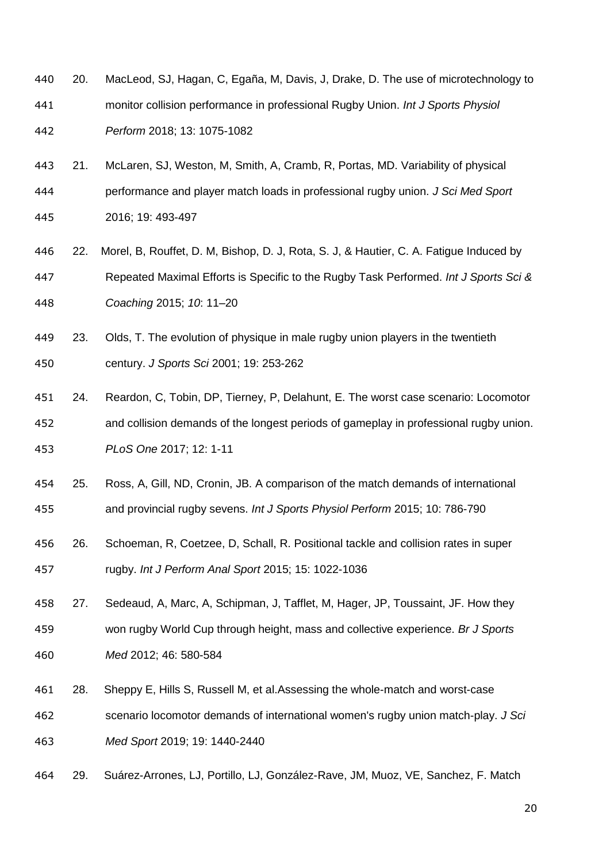- 20. MacLeod, SJ, Hagan, C, Egaña, M, Davis, J, Drake, D. The use of microtechnology to monitor collision performance in professional Rugby Union. *Int J Sports Physiol Perform* 2018; 13: 1075-1082
- 21. McLaren, SJ, Weston, M, Smith, A, Cramb, R, Portas, MD. Variability of physical performance and player match loads in professional rugby union. *J Sci Med Sport* 2016; 19: 493-497
- 22. Morel, B, Rouffet, D. M, Bishop, D. J, Rota, S. J, & Hautier, C. A. Fatigue Induced by Repeated Maximal Efforts is Specific to the Rugby Task Performed. *Int J Sports Sci & Coaching* 2015; *10*: 11–20
- 23. Olds, T. The evolution of physique in male rugby union players in the twentieth century. *J Sports Sci* 2001; 19: 253-262
- 24. Reardon, C, Tobin, DP, Tierney, P, Delahunt, E. The worst case scenario: Locomotor and collision demands of the longest periods of gameplay in professional rugby union. *PLoS One* 2017; 12: 1-11
- 25. Ross, A, Gill, ND, Cronin, JB. A comparison of the match demands of international and provincial rugby sevens. *Int J Sports Physiol Perform* 2015; 10: 786-790
- 26. Schoeman, R, Coetzee, D, Schall, R. Positional tackle and collision rates in super rugby. *Int J Perform Anal Sport* 2015; 15: 1022-1036
- 27. Sedeaud, A, Marc, A, Schipman, J, Tafflet, M, Hager, JP, Toussaint, JF. How they won rugby World Cup through height, mass and collective experience. *Br J Sports Med* 2012; 46: 580-584
- 28. Sheppy E, Hills S, Russell M, et al.Assessing the whole-match and worst-case scenario locomotor demands of international women's rugby union match-play. *J Sci Med Sport* 2019; 19: 1440-2440
- 29. Suárez-Arrones, LJ, Portillo, LJ, González-Rave, JM, Muoz, VE, Sanchez, F. Match